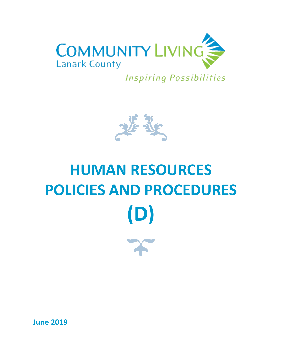

**Inspiring Possibilities** 



# **HUMAN RESOURCES POLICIES AND PROCEDURES (D)**

**June 2019**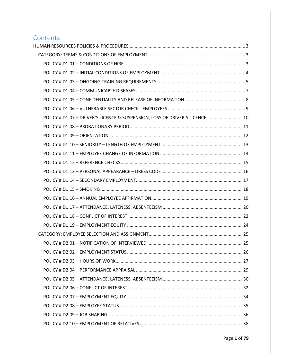# Contents

| POLICY # D1.07 - DRIVER'S LICENCE & SUSPENSION, LOSS OF DRIVER'S LICENCE  10 |  |
|------------------------------------------------------------------------------|--|
|                                                                              |  |
|                                                                              |  |
|                                                                              |  |
|                                                                              |  |
|                                                                              |  |
|                                                                              |  |
|                                                                              |  |
|                                                                              |  |
|                                                                              |  |
|                                                                              |  |
|                                                                              |  |
|                                                                              |  |
|                                                                              |  |
|                                                                              |  |
|                                                                              |  |
|                                                                              |  |
|                                                                              |  |
|                                                                              |  |
|                                                                              |  |
|                                                                              |  |
|                                                                              |  |
|                                                                              |  |
|                                                                              |  |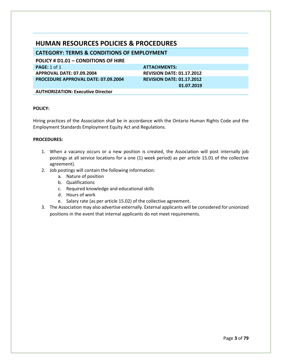# <span id="page-3-0"></span>**HUMAN RESOURCES POLICIES & PROCEDURES**

<span id="page-3-1"></span>**CATEGORY: TERMS & CONDITIONS OF EMPLOYMENT**

<span id="page-3-2"></span>**POLICY # D1.01 – CONDITIONS OF HIRE**

**PAGE:** 1 of 1 **ATTACHMENTS: APPROVAL DATE: 07.09.2004 REVISION DATE: 01.17.2012 PROCEDURE APPROVAL DATE: 07.09.2004 REVISION DATE: 01.17.2012** 

 **01.07.2019**

**AUTHORIZATION: Executive Director**

# **POLICY:**

Hiring practices of the Association shall be in accordance with the Ontario Human Rights Code and the Employment Standards Employment Equity Act and Regulations.

- 1. When a vacancy occurs or a new position is created, the Association will post internally job postings at all service locations for a one (1) week period) as per article 15.01 of the collective agreement).
- 2. Job postings will contain the following information:
	- a. Nature of position
	- b. Qualifications
	- c. Required knowledge and educational skills
	- d. Hours of work
	- e. Salary rate (as per article 15.02) of the collective agreement.
- 3. The Association may also advertise externally. External applicants will be considered for unionized positions in the event that internal applicants do not meet requirements.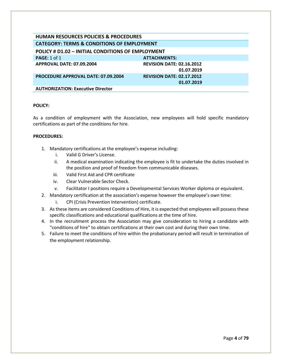<span id="page-4-0"></span>**POLICY # D1.02 – INITIAL CONDITIONS OF EMPLOYMENT PAGE:** 1 of 1 **ATTACHMENTS: APPROVAL DATE: 07.09.2004 REVISION DATE: 02.16.2012 01.07.2019 PROCEDURE APPROVAL DATE: 07.09.2004 REVISION DATE: 02.17.2012 01.07.2019 AUTHORIZATION: Executive Director**

#### **POLICY:**

As a condition of employment with the Association, new employees will hold specific mandatory certifications as part of the conditions for hire.

- 1. Mandatory certifications at the employee's expense including:
	- i. Valid G Driver's License.
	- ii. A medical examination indicating the employee is fit to undertake the duties involved in the position and proof of freedom from communicable diseases.
	- iii. Valid First Aid and CPR certificate
	- iv. Clear Vulnerable Sector Check.
	- v. Facilitator I positions require a Developmental Services Worker diploma or equivalent.
- 2. Mandatory certification at the association's expense however the employee's own time:
	- i. CPI (Crisis Prevention Intervention) certificate.
- 3. As these items are considered Conditions of Hire, it is expected that employees will possess these specific classifications and educational qualifications at the time of hire.
- 4. In the recruitment process the Association may give consideration to hiring a candidate with "conditions of hire" to obtain certifications at their own cost and during their own time.
- 5. Failure to meet the conditions of hire within the probationary period will result in termination of the employment relationship.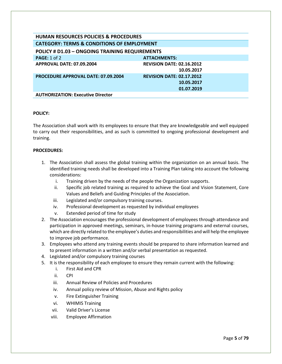<span id="page-5-0"></span>

| <b>HUMAN RESOURCES POLICIES &amp; PROCEDURES</b>      |                                  |  |
|-------------------------------------------------------|----------------------------------|--|
| <b>CATEGORY: TERMS &amp; CONDITIONS OF EMPLOYMENT</b> |                                  |  |
| <b>POLICY # D1.03 - ONGOING TRAINING REQUIREMENTS</b> |                                  |  |
| PAGE: $1$ of $2$                                      | <b>ATTACHMENTS:</b>              |  |
| APPROVAL DATE: 07.09.2004                             | <b>REVISION DATE: 02.16.2012</b> |  |
|                                                       | 10.05.2017                       |  |
| <b>PROCEDURE APPROVAL DATE: 07.09.2004</b>            | <b>REVISION DATE: 02.17.2012</b> |  |
|                                                       | 10.05.2017                       |  |
|                                                       | 01.07.2019                       |  |
| <b>AUTHORIZATION: Executive Director</b>              |                                  |  |

The Association shall work with its employees to ensure that they are knowledgeable and well equipped to carry out their responsibilities, and as such is committed to ongoing professional development and training.

- 1. The Association shall assess the global training within the organization on an annual basis. The identified training needs shall be developed into a Training Plan taking into account the following considerations:
	- i. Training driven by the needs of the people the Organization supports.
	- ii. Specific job related training as required to achieve the Goal and Vision Statement, Core Values and Beliefs and Guiding Principles of the Association.
	- iii. Legislated and/or compulsory training courses.
	- iv. Professional development as requested by individual employees
	- v. Extended period of time for study
- 2. The Association encourages the professional development of employees through attendance and participation in approved meetings, seminars, in-house training programs and external courses, which are directly related to the employee's duties and responsibilities and will help the employee to improve job performance.
- 3. Employees who attend any training events should be prepared to share information learned and to present information in a written and/or verbal presentation as requested.
- 4. Legislated and/or compulsory training courses
- 5. It is the responsibility of each employee to ensure they remain current with the following:
	- i. First Aid and CPR
	- ii. CPI
	- iii. Annual Review of Policies and Procedures
	- iv. Annual policy review of Mission, Abuse and Rights policy
	- v. Fire Extinguisher Training
	- vi. WHIMIS Training
	- vii. Valid Driver's License
	- viii. Employee Affirmation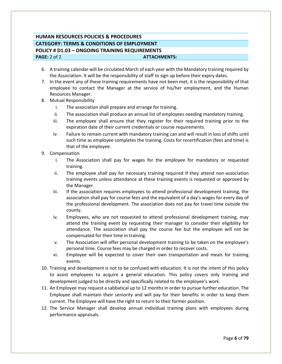# **HUMAN RESOURCES POLICIES & PROCEDURES CATEGORY: TERMS & CONDITIONS OF EMPLOYMENT POLICY # D1.03 – ONGOING TRAINING REQUIREMENTS PAGE:** 2 of 2 **ATTACHMENTS:**

- 6. A training calendar will be circulated March of each year with the Mandatory training required by the Association. It will be the responsibility of staff to sign up before their expiry dates.
- 7. In the event any of these training requirements have not been met, it is the responsibility of that employee to contact the Manager at the service of his/her employment, and the Human Resources Manager.
- 8. Mutual Responsibility
	- i. The association shall prepare and arrange for training.
	- ii. The association shall produce an annual list of employees needing mandatory training.
	- iii. The employee shall ensure that they register for their required training prior to the expiration date of their current credentials or course requirements.
	- iv. Failure to remain current with mandatory training can and will result in loss of shifts until such time as employee completes the training. Costs for recertification (fees and time) is that of the employee.
- 9. Compensation
	- i. The Association shall pay for wages for the employee for mandatory or requested training.
	- ii. The employee shall pay for necessary training required if they attend non-association training events unless attendance at these training events is requested or approved by the Manager.
	- iii. If the association requires employees to attend professional development training, the association shall pay for course fees and the equivalent of a day's wages for every day of the professional development. The association does not pay for travel time outside the county.
	- iv. Employees, who are not requested to attend professional development training, may attend the training event by requesting their manager to consider their eligibility for attendance. The association shall pay the course fee but the employee will not be compensated for their time in training.
	- v. The Association will offer personal development training to be taken on the employee's personal time. Course fees may be charged in order to recover costs.
	- vi. Employee will be expected to cover their own transportation and meals for training events.
- 10. Training and development is not to be confused with education. It is not the intent of this policy to assist employees to acquire a general education. This policy covers only training and development judged to be directly and specifically related to the employee's work.
- 11. An Employee may request a sabbatical up to 12 months in order to pursue further education. The Employee shall maintain their seniority and will pay for their benefits in order to keep them current. The Employee will have the right to return to their former position.
- 12. The Service Manager shall develop annual individual training plans with employees during performance appraisals.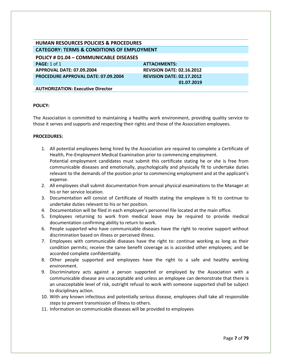<span id="page-7-0"></span>

| <b>HUMAN RESOURCES POLICIES &amp; PROCEDURES</b>      |                                  |  |
|-------------------------------------------------------|----------------------------------|--|
| <b>CATEGORY: TERMS &amp; CONDITIONS OF EMPLOYMENT</b> |                                  |  |
| POLICY # D1.04 - COMMUNICABLE DISEASES                |                                  |  |
| <b>PAGE: 1 of 1</b>                                   | <b>ATTACHMENTS:</b>              |  |
| APPROVAL DATE: 07.09.2004                             | <b>REVISION DATE: 02.16.2012</b> |  |
| <b>PROCEDURE APPROVAL DATE: 07.09.2004</b>            | <b>REVISION DATE: 02.17.2012</b> |  |
|                                                       | 01.07.2019                       |  |
| <b>AUTHORIZATION: Executive Director</b>              |                                  |  |

The Association is committed to maintaining a healthy work environment, providing quality service to those it serves and supports and respecting their rights and those of the Association employees.

- 1. All potential employees being hired by the Association are required to complete a Certificate of Health, Pre-Employment Medical Examination prior to commencing employment. Potential employment candidates must submit this certificate stating he or she is free from communicable diseases and emotionally, psychologically and physically fit to undertake duties relevant to the demands of the position prior to commencing employment and at the applicant's expense.
- 2. All employees shall submit documentation from annual physical examinations to the Manager at his or her service location.
- 3. Documentation will consist of Certificate of Health stating the employee is fit to continue to undertake duties relevant to his or her position.
- 4. Documentation will be filed in each employee's personnel file located at the main office.
- 5. Employees returning to work from medical leave may be required to provide medical documentation confirming ability to return to work.
- 6. People supported who have communicable diseases have the right to receive support without discrimination based on illness or perceived illness.
- 7. Employees with communicable diseases have the right to: continue working as long as their condition permits; receive the same benefit coverage as is accorded other employees; and be accorded complete confidentiality.
- 8. Other people supported and employees have the right to a safe and healthy working environment.
- 9. Discriminatory acts against a person supported or employed by the Association with a communicable disease are unacceptable and unless an employee can demonstrate that there is an unacceptable level of risk, outright refusal to work with someone supported shall be subject to disciplinary action.
- 10. With any known infectious and potentially serious disease, employees shall take all responsible steps to prevent transmission of illness to others.
- 11. Information on communicable diseases will be provided to employees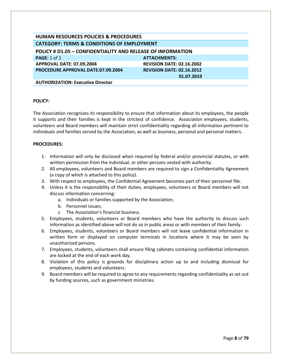<span id="page-8-0"></span>**POLICY # D1.05 – CONFIDENTIALITY AND RELEASE OF INFORMATION PAGE:** 1 of 1 **ATTACHMENTS: ATTACHMENTS:** 

**APPROVAL DATE: 07.09.2004 REVISION DATE: 02.16.2002 PROCEDURE APPROVAL DATE:07.09.2004**

**REVISION DATE: 02.16.2012 01.07.2019**

**AUTHORIZATION: Executive Director**

#### **POLICY:**

The Association recognizes its responsibility to ensure that information about its employees, the people it supports and their families is kept in the strictest of confidence. Association employees, students, volunteers and Board members will maintain strict confidentiality regarding all information pertinent to individuals and families served by the Association, as well as business, personal and personal matters.

- 1. Information will only be disclosed when required by federal and/or provincial statutes, or with written permission from the individual, or other persons vested with authority.
- 2. All employees, volunteers and Board members are required to sign a Confidentiality Agreement (a copy of which is attached to this policy).
- 3. With respect to employees, the Confidential Agreement becomes part of their personnel file.
- 4. Unless it is the responsibility of their duties, employees, volunteers or Board members will not discuss information concerning:
	- a. Individuals or families supported by the Association;
	- b. Personnel issues;
	- c. The Association's financial business.
- 5. Employees, students, volunteers or Board members who have the authority to discuss such information as identified above will not do so in public areas or with members of their family.
- 6. Employees, students, volunteers or Board members will not leave confidential information in written form or displayed on computer terminals in locations where it may be seen by unauthorized persons.
- 7. Employees, students, volunteers shall ensure filing cabinets containing confidential information are locked at the end of each work day.
- 8. Violation of this policy is grounds for disciplinary action up to and including dismissal for employees, students and volunteers.
- 9. Board members will be required to agree to any requirements regarding confidentiality as set out by funding sources, such as government ministries.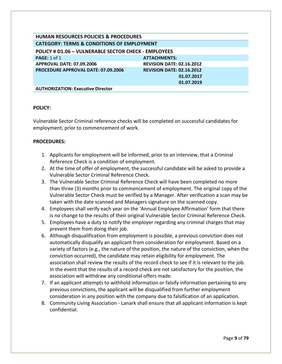<span id="page-9-0"></span>**POLICY # D1.06 – VULNERABLE SECTOR CHECK - EMPLOYEES PAGE:** 1 of 1 **ATTACHMENTS: APPROVAL DATE: 07.09.2006 REVISION DATE: 02.16.2012 PROCEDURE APPROVAL DATE: 07.09.2006 REVISION DATE: 02.16.2012 01.07.2017 01.07.2019**

**AUTHORIZATION: Executive Director**

#### **POLICY:**

Vulnerable Sector Criminal reference checks will be completed on successful candidates for employment, prior to commencement of work.

- 1. Applicants for employment will be informed, prior to an interview, that a Criminal Reference Check is a condition of employment.
- 2. At the time of offer of employment, the successful candidate will be asked to provide a Vulnerable Sector Criminal Reference Check.
- 3. The Vulnerable Sector Criminal Reference Check will have been completed no more than three (3) months prior to commencement of employment. The original copy of the Vulnerable Sector Check must be verified by a Manager. After verification a scan may be taken with the date scanned and Managers signature on the scanned copy.
- 4. Employees shall verify each year on the 'Annual Employee Affirmation' form that there is no change to the results of their original Vulnerable Sector Criminal Reference Check.
- 5. Employees have a duty to notify the employer regarding any criminal charges that may prevent them from doing their job.
- 6. Although disqualification from employment is possible, a previous conviction does not automatically disqualify an applicant from consideration for employment. Based on a variety of factors (e.g., the nature of the position, the nature of the conviction, when the conviction occurred), the candidate may retain eligibility for employment. The association shall review the results of the record check to see if it is relevant to the job. In the event that the results of a record check are not satisfactory for the position, the association will withdraw any conditional offers made.
- 7. If an applicant attempts to withhold information or falsify information pertaining to any previous convictions, the applicant will be disqualified from further employment consideration in any position with the company due to falsification of an application.
- 8. Community Living Association Lanark shall ensure that all applicant information is kept confidential.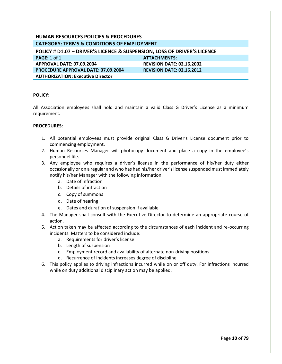<span id="page-10-0"></span>**POLICY # D1.07 – DRIVER'S LICENCE & SUSPENSION, LOSS OF DRIVER'S LICENCE PAGE:** 1 of 1 **ATTACHMENTS: APPROVAL DATE: 07.09.2004 REVISION DATE: 02.16.2002 PROCEDURE APPROVAL DATE: 07.09.2004 REVISION DATE: 02.16.2012 AUTHORIZATION: Executive Director**

#### **POLICY:**

All Association employees shall hold and maintain a valid Class G Driver's License as a minimum requirement**.**

- 1. All potential employees must provide original Class G Driver's License document prior to commencing employment.
- 2. Human Resources Manager will photocopy document and place a copy in the employee's personnel file.
- 3. Any employee who requires a driver's license in the performance of his/her duty either occasionally or on a regular and who has had his/her driver's license suspended must immediately notify his/her Manager with the following information.
	- a. Date of infraction
	- b. Details of infraction
	- c. Copy of summons
	- d. Date of hearing
	- e. Dates and duration of suspension if available
- 4. The Manager shall consult with the Executive Director to determine an appropriate course of action.
- 5. Action taken may be affected according to the circumstances of each incident and re-occurring incidents. Matters to be considered include:
	- a. Requirements for driver's license
	- b. Length of suspension
	- c. Employment record and availability of alternate non-driving positions
	- d. Recurrence of incidents increases degree of discipline
- 6. This policy applies to driving infractions incurred while on or off duty. For infractions incurred while on duty additional disciplinary action may be applied.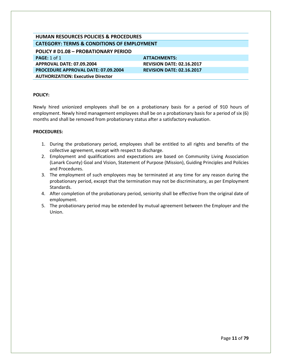<span id="page-11-0"></span>**POLICY # D1.08 – PROBATIONARY PERIOD**

**PAGE:** 1 of 1 **ATTACHMENTS: APPROVAL DATE: 07.09.2004 REVISION DATE: 02.16.2017 PROCEDURE APPROVAL DATE: 07.09.2004 REVISION DATE: 02.16.2017 AUTHORIZATION: Executive Director**

#### **POLICY:**

Newly hired unionized employees shall be on a probationary basis for a period of 910 hours of employment. Newly hired management employees shall be on a probationary basis for a period of six (6) months and shall be removed from probationary status after a satisfactory evaluation.

- 1. During the probationary period, employees shall be entitled to all rights and benefits of the collective agreement, except with respect to discharge.
- 2. Employment and qualifications and expectations are based on Community Living Association (Lanark County) Goal and Vision, Statement of Purpose (Mission), Guiding Principles and Policies and Procedures.
- 3. The employment of such employees may be terminated at any time for any reason during the probationary period, except that the termination may not be discriminatory, as per Employment Standards.
- 4. After completion of the probationary period, seniority shall be effective from the original date of employment.
- 5. The probationary period may be extended by mutual agreement between the Employer and the Union.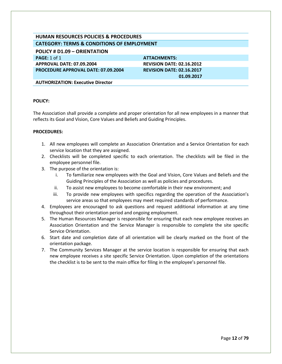<span id="page-12-0"></span>**POLICY # D1.09 – ORIENTATION**

**PAGE:** 1 of 1 **ATTACHMENTS: APPROVAL DATE: 07.09.2004 REVISION DATE: 02.16.2012 PROCEDURE APPROVAL DATE: 07.09.2004 REVISION DATE: 02.16.2017**

 **01.09.2017**

**AUTHORIZATION: Executive Director**

#### **POLICY:**

The Association shall provide a complete and proper orientation for all new employees in a manner that reflects its Goal and Vision, Core Values and Beliefs and Guiding Principles.

- 1. All new employees will complete an Association Orientation and a Service Orientation for each service location that they are assigned.
- 2. Checklists will be completed specific to each orientation. The checklists will be filed in the employee personnel file.
- 3. The purpose of the orientation is:
	- i. To familiarize new employees with the Goal and Vision, Core Values and Beliefs and the Guiding Principles of the Association as well as policies and procedures.
	- ii. To assist new employees to become comfortable in their new environment; and
	- iii. To provide new employees with specifics regarding the operation of the Association's service areas so that employees may meet required standards of performance.
- 4. Employees are encouraged to ask questions and request additional information at any time throughout their orientation period and ongoing employment.
- 5. The Human Resources Manager is responsible for ensuring that each new employee receives an Association Orientation and the Service Manager is responsible to complete the site specific Service Orientation.
- 6. Start date and completion date of all orientation will be clearly marked on the front of the orientation package.
- 7. The Community Services Manager at the service location is responsible for ensuring that each new employee receives a site specific Service Orientation. Upon completion of the orientations the checklist is to be sent to the main office for filing in the employee's personnel file.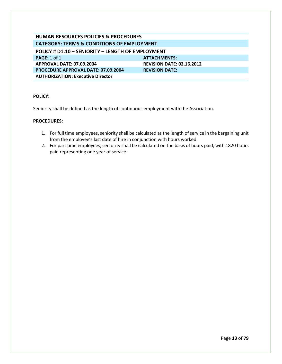<span id="page-13-0"></span>

| <b>HUMAN RESOURCES POLICIES &amp; PROCEDURES</b>      |                                  |  |
|-------------------------------------------------------|----------------------------------|--|
| <b>CATEGORY: TERMS &amp; CONDITIONS OF EMPLOYMENT</b> |                                  |  |
| POLICY # D1.10 - SENIORITY - LENGTH OF EMPLOYMENT     |                                  |  |
| <b>PAGE: 1 of 1</b>                                   | <b>ATTACHMENTS:</b>              |  |
| APPROVAL DATE: 07.09.2004                             | <b>REVISION DATE: 02.16.2012</b> |  |
| <b>PROCEDURE APPROVAL DATE: 07.09.2004</b>            | <b>REVISION DATE:</b>            |  |
| <b>AUTHORIZATION: Executive Director</b>              |                                  |  |

Seniority shall be defined as the length of continuous employment with the Association.

- 1. For full time employees, seniority shall be calculated as the length of service in the bargaining unit from the employee's last date of hire in conjunction with hours worked.
- 2. For part time employees, seniority shall be calculated on the basis of hours paid, with 1820 hours paid representing one year of service.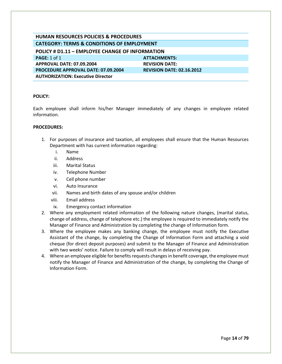<span id="page-14-0"></span>

| <b>HUMAN RESOURCES POLICIES &amp; PROCEDURES</b>      |                                  |  |
|-------------------------------------------------------|----------------------------------|--|
| <b>CATEGORY: TERMS &amp; CONDITIONS OF EMPLOYMENT</b> |                                  |  |
| POLICY # D1.11 - EMPLOYEE CHANGE OF INFORMATION       |                                  |  |
| PAGE: $1$ of $1$                                      | <b>ATTACHMENTS:</b>              |  |
| APPROVAL DATE: 07.09.2004                             | <b>REVISION DATE:</b>            |  |
| <b>PROCEDURE APPROVAL DATE: 07.09.2004</b>            | <b>REVISION DATE: 02.16.2012</b> |  |
| <b>AUTHORIZATION: Executive Director</b>              |                                  |  |

Each employee shall inform his/her Manager immediately of any changes in employee related information.

- 1. For purposes of insurance and taxation, all employees shall ensure that the Human Resources Department with has current information regarding:
	- i. Name
	- ii. Address
	- iii. Marital Status
	- iv. Telephone Number
	- v. Cell phone number
	- vi. Auto Insurance
	- vii. Names and birth dates of any spouse and/or children
	- viii. Email address
	- ix. Emergency contact information
- 2. Where any employment related information of the following nature changes, (marital status, change of address, change of telephone etc.) the employee is required to immediately notify the Manager of Finance and Administration by completing the change of Information form.
- 3. Where the employee makes any banking change, the employee must notify the Executive Assistant of the change, by completing the Change of Information Form and attaching a void cheque (for direct deposit purposes) and submit to the Manager of Finance and Administration with two weeks' notice. Failure to comply will result in delays of receiving pay.
- 4. Where an employee eligible for benefits requests changes in benefit coverage, the employee must notify the Manager of Finance and Administration of the change, by completing the Change of Information Form.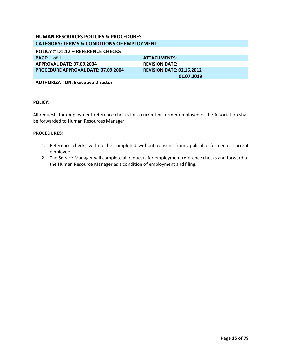#### <span id="page-15-0"></span>**POLICY # D1.12 – REFERENCE CHECKS**

**PAGE:** 1 of 1 **ATTACHMENTS: APPROVAL DATE: 07.09.2004 REVISION DATE: PROCEDURE APPROVAL DATE: 07.09.2004 REVISION DATE: 02.16.2012**

 **01.07.2019**

**AUTHORIZATION: Executive Director**

#### **POLICY:**

All requests for employment reference checks for a current or former employee of the Association shall be forwarded to Human Resources Manager.

- 1. Reference checks will not be completed without consent from applicable former or current employee.
- 2. The Service Manager will complete all requests for employment reference checks and forward to the Human Resource Manager as a condition of employment and filing.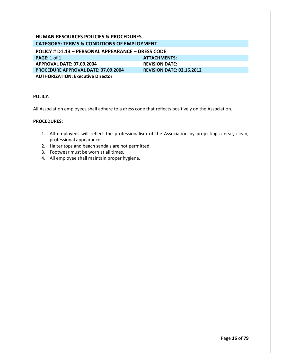<span id="page-16-0"></span>

| <b>HUMAN RESOURCES POLICIES &amp; PROCEDURES</b>         |                                  |  |
|----------------------------------------------------------|----------------------------------|--|
| <b>CATEGORY: TERMS &amp; CONDITIONS OF EMPLOYMENT</b>    |                                  |  |
| <b>POLICY # D1.13 - PERSONAL APPEARANCE - DRESS CODE</b> |                                  |  |
| PAGE: $1$ of $1$                                         | <b>ATTACHMENTS:</b>              |  |
| APPROVAL DATE: 07.09.2004                                | <b>REVISION DATE:</b>            |  |
| <b>PROCEDURE APPROVAL DATE: 07.09.2004</b>               | <b>REVISION DATE: 02.16.2012</b> |  |
| <b>AUTHORIZATION: Executive Director</b>                 |                                  |  |

All Association employees shall adhere to a dress code that reflects positively on the Association.

- 1. All employees will reflect the professionalism of the Association by projecting a neat, clean, professional appearance.
- 2. Halter tops and beach sandals are not permitted.
- 3. Footwear must be worn at all times.
- 4. All employee shall maintain proper hygiene.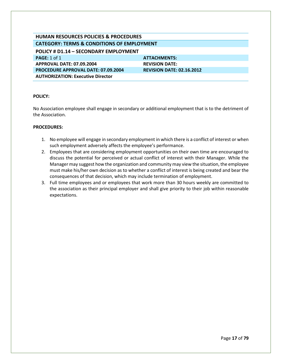<span id="page-17-0"></span>

| <b>HUMAN RESOURCES POLICIES &amp; PROCEDURES</b>      |                                  |  |
|-------------------------------------------------------|----------------------------------|--|
| <b>CATEGORY: TERMS &amp; CONDITIONS OF EMPLOYMENT</b> |                                  |  |
| POLICY # D1.14 - SECONDARY EMPLOYMENT                 |                                  |  |
| PAGE: $1$ of $1$                                      | <b>ATTACHMENTS:</b>              |  |
| <b>APPROVAL DATE: 07.09.2004</b>                      | <b>REVISION DATE:</b>            |  |
| <b>PROCEDURE APPROVAL DATE: 07.09.2004</b>            | <b>REVISION DATE: 02.16.2012</b> |  |
| <b>AUTHORIZATION: Executive Director</b>              |                                  |  |

No Association employee shall engage in secondary or additional employment that is to the detriment of the Association.

- 1. No employee will engage in secondary employment in which there is a conflict of interest or when such employment adversely affects the employee's performance.
- 2. Employees that are considering employment opportunities on their own time are encouraged to discuss the potential for perceived or actual conflict of interest with their Manager. While the Manager may suggest how the organization and community may view the situation, the employee must make his/her own decision as to whether a conflict of interest is being created and bear the consequences of that decision, which may include termination of employment.
- 3. Full time employees and or employees that work more than 30 hours weekly are committed to the association as their principal employer and shall give priority to their job within reasonable expectations.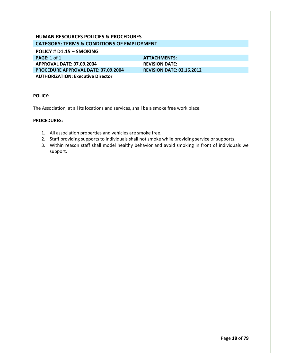<span id="page-18-0"></span>**POLICY # D1.15 – SMOKING**

**PAGE:** 1 of 1 **ATTACHMENTS: APPROVAL DATE: 07.09.2004 REVISION DATE: PROCEDURE APPROVAL DATE: 07.09.2004 REVISION DATE: 02.16.2012 AUTHORIZATION: Executive Director**

# **POLICY:**

The Association, at all its locations and services, shall be a smoke free work place.

- 1. All association properties and vehicles are smoke free.
- 2. Staff providing supports to individuals shall not smoke while providing service or supports.
- 3. Within reason staff shall model healthy behavior and avoid smoking in front of individuals we support.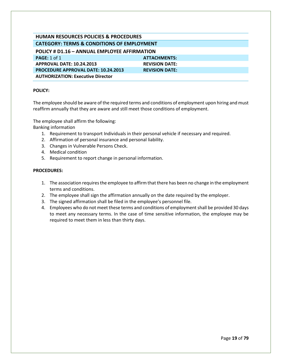<span id="page-19-0"></span>

| <b>POLICY # D1.16 - ANNUAL EMPLOYEE AFFIRMATION</b> |                       |  |
|-----------------------------------------------------|-----------------------|--|
| <b>PAGE:</b> 1 of 1                                 | <b>ATTACHMENTS:</b>   |  |
| <b>APPROVAL DATE: 10.24.2013</b>                    | <b>REVISION DATE:</b> |  |
| <b>PROCEDURE APPROVAL DATE: 10.24.2013</b>          | <b>REVISION DATE:</b> |  |
| <b>AUTHORIZATION: Executive Director</b>            |                       |  |

#### **POLICY:**

The employee should be aware of the required terms and conditions of employment upon hiring and must reaffirm annually that they are aware and still meet those conditions of employment.

The employee shall affirm the following: Banking information

- 1. Requirement to transport Individuals in their personal vehicle if necessary and required.
- 2. Affirmation of personal insurance and personal liability.
- 3. Changes in Vulnerable Persons Check.
- 4. Medical condition
- 5. Requirement to report change in personal information.

- 1. The association requires the employee to affirm that there has been no change in the employment terms and conditions.
- 2. The employee shall sign the affirmation annually on the date required by the employer.
- 3. The signed affirmation shall be filed in the employee's personnel file.
- 4. Employees who do not meet these terms and conditions of employment shall be provided 30 days to meet any necessary terms. In the case of time sensitive information, the employee may be required to meet them in less than thirty days.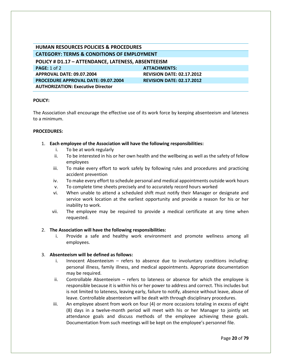<span id="page-20-0"></span>

| HUMAN RESOURCES POLICIES & PROCEDURES                 |                                  |  |
|-------------------------------------------------------|----------------------------------|--|
| <b>CATEGORY: TERMS &amp; CONDITIONS OF EMPLOYMENT</b> |                                  |  |
| POLICY # D1.17 - ATTENDANCE, LATENESS, ABSENTEEISM    |                                  |  |
| <b>PAGE: 1 of 2</b>                                   | <b>ATTACHMENTS:</b>              |  |
| APPROVAL DATE: 09.07.2004                             | <b>REVISION DATE: 02.17.2012</b> |  |
| <b>PROCEDURE APPROVAL DATE: 09.07.2004</b>            | <b>REVISION DATE: 02.17.2012</b> |  |
| <b>AUTHORIZATION: Executive Director</b>              |                                  |  |

The Association shall encourage the effective use of its work force by keeping absenteeism and lateness to a minimum.

#### **PROCEDURES:**

- 1. **Each employee of the Association will have the following responsibilities:** 
	- i. To be at work regularly
	- ii. To be interested in his or her own health and the wellbeing as well as the safety of fellow employees
	- iii. To make every effort to work safely by following rules and procedures and practicing accident prevention
	- iv. To make every effort to schedule personal and medical appointments outside work hours
	- v. To complete time sheets precisely and to accurately record hours worked
	- vi. When unable to attend a scheduled shift must notify their Manager or designate and service work location at the earliest opportunity and provide a reason for his or her inability to work.
	- vii. The employee may be required to provide a medical certificate at any time when requested.

#### 2. **The Association will have the following responsibilities:**

i. Provide a safe and healthy work environment and promote wellness among all employees.

#### 3. **Absenteeism will be defined as follows:**

- i. Innocent Absenteeism refers to absence due to involuntary conditions including: personal illness, family illness, and medical appointments. Appropriate documentation may be required.
- ii. Controllable Absenteeism refers to lateness or absence for which the employee is responsible because it is within his or her power to address and correct. This includes but is not limited to lateness, leaving early, failure to notify, absence without leave, abuse of leave. Controllable absenteeism will be dealt with through disciplinary procedures.
- iii. An employee absent from work on four (4) or more occasions totaling in excess of eight (8) days in a twelve-month period will meet with his or her Manager to jointly set attendance goals and discuss methods of the employee achieving these goals. Documentation from such meetings will be kept on the employee's personnel file.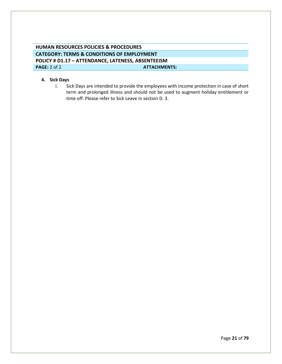# **HUMAN RESOURCES POLICIES & PROCEDURES CATEGORY: TERMS & CONDITIONS OF EMPLOYMENT POLICY # D1.17 – ATTENDANCE, LATENESS, ABSENTEEISM PAGE:** 2 of 2 **ATTACHMENTS: ATTACHMENTS:**

#### **4. Sick Days**

i. Sick Days are intended to provide the employees with income protection in case of short term and prolonged illness and should not be used to augment holiday entitlement or time off. Please refer to Sick Leave in section D. 3.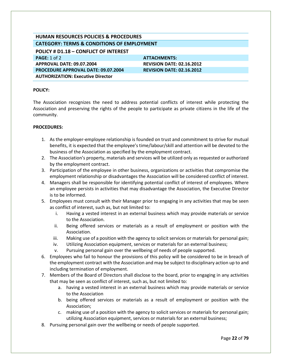<span id="page-22-0"></span>**POLICY # D1.18 – CONFLICT OF INTEREST**

**PAGE:** 1 of 2 **ATTACHMENTS: ATTACHMENTS: APPROVAL DATE: 09.07.2004 REVISION DATE: 02.16.2012 PROCEDURE APPROVAL DATE: 09.07.2004 REVISION DATE: 02.16.2012 AUTHORIZATION: Executive Director**

#### **POLICY:**

The Association recognizes the need to address potential conflicts of interest while protecting the Association and preserving the rights of the people to participate as private citizens in the life of the community.

- 1. As the employer-employee relationship is founded on trust and commitment to strive for mutual benefits, it is expected that the employee's time/labour/skill and attention will be devoted to the business of the Association as specified by the employment contract.
- 2. The Association's property, materials and services will be utilized only as requested or authorized by the employment contract.
- 3. Participation of the employee in other business, organizations or activities that compromise the employment relationship or disadvantages the Association will be considered conflict of interest.
- 4. Managers shall be responsible for identifying potential conflict of interest of employees. Where an employee persists in activities that may disadvantage the Association, the Executive Director is to be informed.
- 5. Employees must consult with their Manager prior to engaging in any activities that may be seen as conflict of interest, such as, but not limited to:
	- i. Having a vested interest in an external business which may provide materials or service to the Association.
	- ii. Being offered services or materials as a result of employment or position with the Association.
	- iii. Making use of a position with the agency to solicit services or materials for personal gain;
	- iv. Utilizing Association equipment, services or materials for an external business;
	- v. Pursuing personal gain over the wellbeing of needs of people supported.
- 6. Employees who fail to honour the provisions of this policy will be considered to be in breach of the employment contract with the Association and may be subject to disciplinary action up to and including termination of employment.
- 7. Members of the Board of Directors shall disclose to the board, prior to engaging in any activities that may be seen as conflict of interest, such as, but not limited to:
	- a. having a vested interest in an external business which may provide materials or service to the Association
	- b. being offered services or materials as a result of employment or position with the Association;
	- c. making use of a position with the agency to solicit services or materials for personal gain; utilizing Association equipment, services or materials for an external business;
- 8. Pursuing personal gain over the wellbeing or needs of people supported.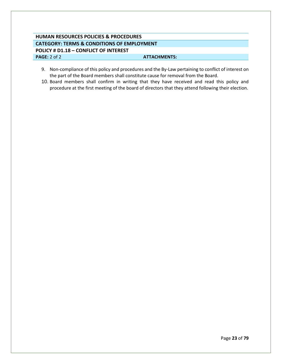# **HUMAN RESOURCES POLICIES & PROCEDURES CATEGORY: TERMS & CONDITIONS OF EMPLOYMENT POLICY # D1.18 – CONFLICT OF INTEREST PAGE:** 2 of 2 **ATTACHMENTS:**

- 9. Non-compliance of this policy and procedures and the By-Law pertaining to conflict of interest on the part of the Board members shall constitute cause for removal from the Board.
- 10. Board members shall confirm in writing that they have received and read this policy and procedure at the first meeting of the board of directors that they attend following their election.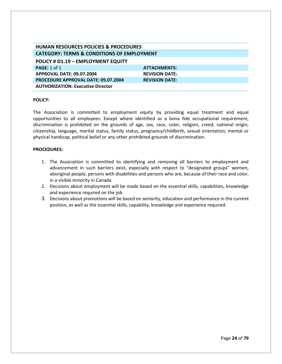<span id="page-24-0"></span>

| <b>HUMAN RESOURCES POLICIES &amp; PROCEDURES</b>      |                       |
|-------------------------------------------------------|-----------------------|
| <b>CATEGORY: TERMS &amp; CONDITIONS OF EMPLOYMENT</b> |                       |
| POLICY # D1.19 - EMPLOYMENT EQUITY                    |                       |
| PAGE: 1 of 1                                          | <b>ATTACHMENTS:</b>   |
| APPROVAL DATE: 09.07.2004                             | <b>REVISION DATE:</b> |
| <b>PROCEDURE APPROVAL DATE: 09.07.2004</b>            | <b>REVISION DATE:</b> |
| <b>AUTHORIZATION: Executive Director</b>              |                       |

The Association is committed to employment equity by providing equal treatment and equal opportunities to all employees. Except where identified as a bona fide occupational requirement, discrimination is prohibited on the grounds of age, sex, race, color, religion, creed, national origin, citizenship, language, marital status, family status, pregnancy/childbirth, sexual orientation, mental or physical handicap, political belief or any other prohibited grounds of discrimination.

- 1. The Association is committed to identifying and removing all barriers to employment and advancement in such barriers exist, especially with respect to "designated groups" women, aboriginal people, persons with disabilities and persons who are, because of their race and color, in a visible minority in Canada.
- 2. Decisions about employment will be made based on the essential skills, capabilities, knowledge and experience required on the job.
- 3. Decisions about promotions will be based on seniority, education and performance in the current position, as well as the essential skills, capability, knowledge and experience required.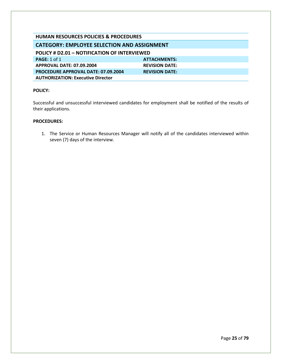<span id="page-25-1"></span><span id="page-25-0"></span>

| <b>HUMAN RESOURCES POLICIES &amp; PROCEDURES</b> |                       |  |
|--------------------------------------------------|-----------------------|--|
| CATEGORY: EMPLOYEE SELECTION AND ASSIGNMENT      |                       |  |
| POLICY # D2.01 - NOTIFICATION OF INTERVIEWED     |                       |  |
| <b>PAGE: 1 of 1</b>                              | <b>ATTACHMENTS:</b>   |  |
| APPROVAL DATE: 07.09.2004                        | <b>REVISION DATE:</b> |  |
| <b>PROCEDURE APPROVAL DATE: 07.09.2004</b>       | <b>REVISION DATE:</b> |  |
| <b>AUTHORIZATION: Executive Director</b>         |                       |  |

Successful and unsuccessful interviewed candidates for employment shall be notified of the results of their applications.

# **PROCEDURES:**

1. The Service or Human Resources Manager will notify all of the candidates interviewed within seven (7) days of the interview.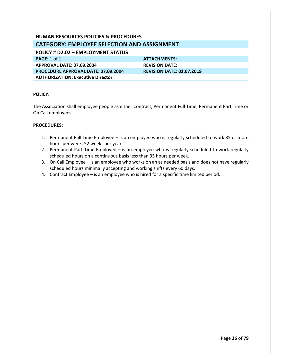# <span id="page-26-0"></span>**HUMAN RESOURCES POLICIES & PROCEDURES CATEGORY: EMPLOYEE SELECTION AND ASSIGNMENT POLICY # D2.02 – EMPLOYMENT STATUS PAGE:** 1 of 1 **ATTACHMENTS: APPROVAL DATE: 07.09.2004 REVISION DATE: PROCEDURE APPROVAL DATE: 07.09.2004 REVISION DATE: 01.07.2019 AUTHORIZATION: Executive Director**

#### **POLICY:**

The Association shall employee people as either Contract, Permanent Full Time, Permanent Part Time or On Call employees.

- 1. Permanent Full Time Employee is an employee who is regularly scheduled to work 35 or more hours per week, 52 weeks per year.
- 2. Permanent Part Time Employee is an employee who is regularly scheduled to work regularly scheduled hours on a continuous basis less than 35 hours per week.
- 3. On Call Employee is an employee who works on an as needed basis and does not have regularly scheduled hours minimally accepting and working shifts every 60 days.
- 4. Contract Employee is an employee who is hired for a specific time limited period.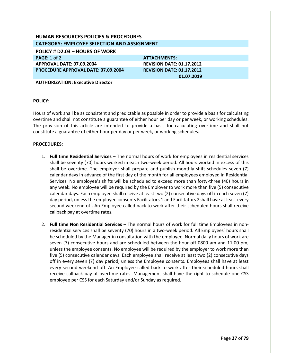# **HUMAN RESOURCES POLICIES & PROCEDURES CATEGORY: EMPLOYEE SELECTION AND ASSIGNMENT**

<span id="page-27-0"></span>**POLICY # D2.03 – HOURS OF WORK**

**PAGE:** 1 of 2 **ATTACHMENTS: ATTACHMENTS: APPROVAL DATE: 07.09.2004 REVISION DATE: 01.17.2012 PROCEDURE APPROVAL DATE: 07.09.2004 REVISION DATE: 01.17.2012** 

 **01.07.2019**

**AUTHORIZATION: Executive Director**

#### **POLICY:**

Hours of work shall be as consistent and predictable as possible in order to provide a basis for calculating overtime and shall not constitute a guarantee of either hour per day or per week, or working schedules. The provision of this article are intended to provide a basis for calculating overtime and shall not constitute a guarantee of either hour per day or per week, or working schedules.

- 1. **Full time Residential Services**  The normal hours of work for employees in residential services shall be seventy (70) hours worked in each two-week period. All hours worked in excess of this shall be overtime. The employer shall prepare and publish monthly shift schedules seven (7) calendar days in advance of the first day of the month for all employees employed in Residential Services. No employee's shifts will be scheduled to exceed more than forty-three (40) hours in any week. No employee will be required by the Employer to work more than five (5) consecutive calendar days. Each employee shall receive at least two (2) consecutive days off in each seven (7) day period, unless the employee consents Facilitators 1 and Facilitators 2shall have at least every second weekend off. An Employee called back to work after their scheduled hours shall receive callback pay at overtime rates.
- 2. **Full time Non Residential Services**  The normal hours of work for full time Employees in nonresidential services shall be seventy (70) hours in a two-week period. All Employees' hours shall be scheduled by the Manager in consultation with the employee. Normal daily hours of work are seven (7) consecutive hours and are scheduled between the hour off 0800 am and 11:00 pm, unless the employee consents. No employee will be required by the employer to work more than five (5) consecutive calendar days. Each employee shall receive at least two (2) consecutive days off in every seven (7) day period, unless the Employee consents. Employees shall have at least every second weekend off. An Employee called back to work after their scheduled hours shall receive callback pay at overtime rates. Management shall have the right to schedule one CSS employee per CSS for each Saturday and/or Sunday as required.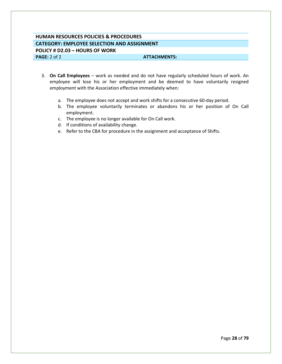# **HUMAN RESOURCES POLICIES & PROCEDURES CATEGORY: EMPLOYEE SELECTION AND ASSIGNMENT POLICY # D2.03 – HOURS OF WORK PAGE:** 2 of 2 **ATTACHMENTS: ATTACHMENTS:**

- 3. **On Call Employees**  work as needed and do not have regularly scheduled hours of work. An employee will lose his or her employment and be deemed to have voluntarily resigned employment with the Association effective immediately when:
	- a. The employee does not accept and work shifts for a consecutive 60-day period.
	- b. The employee voluntarily terminates or abandons his or her position of On Call employment.
	- c. The employee is no longer available for On Call work.
	- d. If conditions of availability change.
	- e. Refer to the CBA for procedure in the assignment and acceptance of Shifts.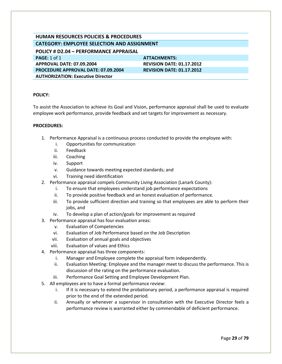# **HUMAN RESOURCES POLICIES & PROCEDURES CATEGORY: EMPLOYEE SELECTION AND ASSIGNMENT**

<span id="page-29-0"></span>**POLICY # D2.04 – PERFORMANCE APPRAISAL**

**PAGE:** 1 of 1 **ATTACHMENTS: APPROVAL DATE: 07.09.2004 REVISION DATE: 01.17.2012 PROCEDURE APPROVAL DATE: 07.09.2004 REVISION DATE: 01.17.2012 AUTHORIZATION: Executive Director**

# **POLICY:**

To assist the Association to achieve its Goal and Vision, performance appraisal shall be used to evaluate employee work performance, provide feedback and set targets for improvement as necessary.

- 1. Performance Appraisal is a continuous process conducted to provide the employee with:
	- i. Opportunities for communication
	- ii. Feedback
	- iii. Coaching
	- iv. Support
	- v. Guidance towards meeting expected standards; and
	- vi. Training need identification
- 2. Performance appraisal compels Community Living Association (Lanark County):
	- i. To ensure that employees understand job performance expectations
	- ii. To provide positive feedback and an honest evaluation of performance.
	- iii. To provide sufficient direction and training so that employees are able to perform their jobs, and
	- iv. To develop a plan of action/goals for improvement as required
- 3. Performance appraisal has four evaluation areas:
	- v. Evaluation of Competencies
	- vi. Evaluation of Job Performance based on the Job Description
	- vii. Evaluation of annual goals and objectives
	- viii. Evaluation of values and Ethics
- 4. Performance appraisal has three components:
	- i. Manager and Employee complete the appraisal form independently.
	- ii. Evaluation Meeting: Employee and the manager meet to discuss the performance. This is discussion of the rating on the performance evaluation.
	- iii. Performance Goal Setting and Employee Development Plan.
- 5. All employees are to have a formal performance review:
	- i. If it is necessary to extend the probationary period, a performance appraisal is required prior to the end of the extended period.
	- ii. Annually or whenever a supervisor in consultation with the Executive Director feels a performance review is warranted either by commendable of deficient performance.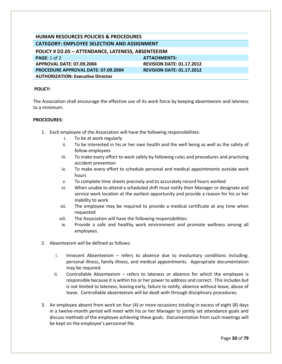# **HUMAN RESOURCES POLICIES & PROCEDURES CATEGORY: EMPLOYEE SELECTION AND ASSIGNMENT**

<span id="page-30-0"></span>

| POLICY # D2.05 - ATTENDANCE, LATENESS, ABSENTEEISM |                                  |
|----------------------------------------------------|----------------------------------|
| <b>PAGE:</b> 1 of 2                                | <b>ATTACHMENTS:</b>              |
| <b>APPROVAL DATE: 07.09.2004</b>                   | <b>REVISION DATE: 01.17.2012</b> |
| <b>PROCEDURE APPROVAL DATE: 07.09.2004</b>         | <b>REVISION DATE: 01.17.2012</b> |
| <b>AUTHORIZATION: Executive Director</b>           |                                  |

#### **POLICY:**

The Association shall encourage the effective use of its work force by keeping absenteeism and lateness to a minimum.

- 1. Each employee of the Association will have the following responsibilities:
	- i. To be at work regularly
	- ii. To be interested in his or her own health and the well being as well as the safety of fellow employees
	- iii. To make every effort to work safely by following rules and procedures and practicing accident prevention
	- iv. To make every effort to schedule personal and medical appointments outside work hours
	- v. To complete time sheets precisely and to accurately record hours worked
	- vi. When unable to attend a scheduled shift must notify their Manager or designate and service work location at the earliest opportunity and provide a reason for his or her inability to work
	- vii. The employee may be required to provide a medical certificate at any time when requested
	- viii. The Association will have the following responsibilities:
	- ix. Provide a safe and healthy work environment and promote wellness among all employees.
- 2. Absenteeism will be defined as follows:
	- i. Innocent Absenteeism refers to absence due to involuntary conditions including: personal illness, family illness, and medical appointments. Appropriate documentation may be required.
	- ii. Controllable Absenteeism refers to lateness or absence for which the employee is responsible because it is within his or her power to address and correct. This includes but is not limited to lateness, leaving early, failure to notify, absence without leave, abuse of leave. Controllable absenteeism will be dealt with through disciplinary procedures.
- 3. An employee absent from work on four (4) or more occasions totaling in excess of eight (8) days in a twelve-month period will meet with his or her Manager to jointly set attendance goals and discuss methods of the employee achieving these goals. Documentation from such meetings will be kept on the employee's personnel file.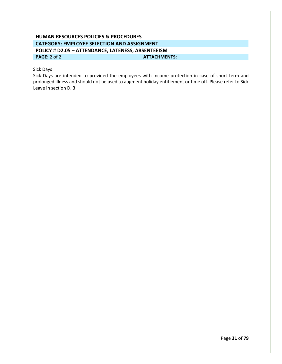# **HUMAN RESOURCES POLICIES & PROCEDURES CATEGORY: EMPLOYEE SELECTION AND ASSIGNMENT POLICY # D2.05 – ATTENDANCE, LATENESS, ABSENTEEISM PAGE:** 2 of 2 **ATTACHMENTS: ATTACHMENTS:**

# Sick Days

Sick Days are intended to provided the employees with income protection in case of short term and prolonged illness and should not be used to augment holiday entitlement or time off. Please refer to Sick Leave in section D. 3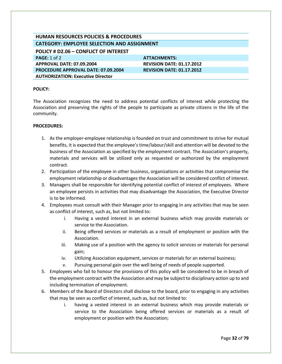# **HUMAN RESOURCES POLICIES & PROCEDURES CATEGORY: EMPLOYEE SELECTION AND ASSIGNMENT**

<span id="page-32-0"></span>**POLICY # D2.06 – CONFLICT OF INTEREST**

**PAGE:** 1 of 2 **ATTACHMENTS: ATTACHMENTS: APPROVAL DATE: 07.09.2004 REVISION DATE: 01.17.2012 PROCEDURE APPROVAL DATE: 07.09.2004 REVISION DATE: 01.17.2012 AUTHORIZATION: Executive Director**

#### **POLICY:**

The Association recognizes the need to address potential conflicts of interest while protecting the Association and preserving the rights of the people to participate as private citizens in the life of the community.

- 1. As the employer-employee relationship is founded on trust and commitment to strive for mutual benefits, it is expected that the employee's time/labour/skill and attention will be devoted to the business of the Association as specified by the employment contract. The Association's property, materials and services will be utilized only as requested or authorized by the employment contract.
- 2. Participation of the employee in other business, organizations or activities that compromise the employment relationship or disadvantages the Association will be considered conflict of interest.
- 3. Managers shall be responsible for identifying potential conflict of interest of employees. Where an employee persists in activities that may disadvantage the Association, the Executive Director is to be informed.
- 4. Employees must consult with their Manager prior to engaging in any activities that may be seen as conflict of interest, such as, but not limited to:
	- i. Having a vested interest in an external business which may provide materials or service to the Association.
	- ii. Being offered services or materials as a result of employment or position with the Association.
	- iii. Making use of a position with the agency to solicit services or materials for personal gain;
	- iv. Utilizing Association equipment, services or materials for an external business;
	- v. Pursuing personal gain over the well being of needs of people supported.
- 5. Employees who fail to honour the provisions of this policy will be considered to be in breach of the employment contract with the Association and may be subject to disciplinary action up to and including termination of employment.
- 6. Members of the Board of Directors shall disclose to the board, prior to engaging in any activities that may be seen as conflict of interest, such as, but not limited to:
	- i. having a vested interest in an external business which may provide materials or service to the Association being offered services or materials as a result of employment or position with the Association;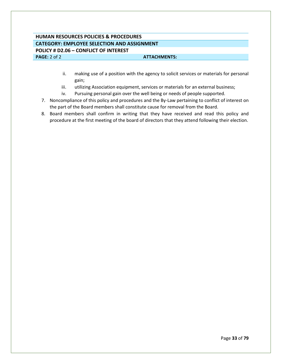# **HUMAN RESOURCES POLICIES & PROCEDURES CATEGORY: EMPLOYEE SELECTION AND ASSIGNMENT POLICY # D2.06 – CONFLICT OF INTEREST PAGE:** 2 of 2 **ATTACHMENTS: ATTACHMENTS:**

- ii. making use of a position with the agency to solicit services or materials for personal gain;
- iii. utilizing Association equipment, services or materials for an external business;
- iv. Pursuing personal gain over the well being or needs of people supported.
- 7. Noncompliance of this policy and procedures and the By-Law pertaining to conflict of interest on the part of the Board members shall constitute cause for removal from the Board.
- 8. Board members shall confirm in writing that they have received and read this policy and procedure at the first meeting of the board of directors that they attend following their election.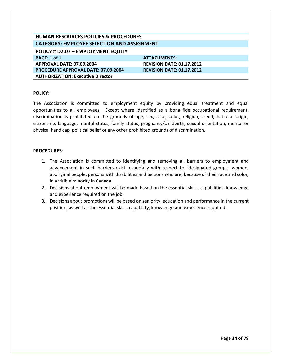# **HUMAN RESOURCES POLICIES & PROCEDURES CATEGORY: EMPLOYEE SELECTION AND ASSIGNMENT**

<span id="page-34-0"></span>**POLICY # D2.07 – EMPLOYMENT EQUITY**

**PAGE:** 1 of 1 **ATTACHMENTS: APPROVAL DATE: 07.09.2004 REVISION DATE: 01.17.2012 PROCEDURE APPROVAL DATE: 07.09.2004 REVISION DATE: 01.17.2012 AUTHORIZATION: Executive Director**

#### **POLICY:**

The Association is committed to employment equity by providing equal treatment and equal opportunities to all employees. Except where identified as a bona fide occupational requirement, discrimination is prohibited on the grounds of age, sex, race, color, religion, creed, national origin, citizenship, language, marital status, family status, pregnancy/childbirth, sexual orientation, mental or physical handicap, political belief or any other prohibited grounds of discrimination.

- 1. The Association is committed to identifying and removing all barriers to employment and advancement in such barriers exist, especially with respect to "designated groups" women, aboriginal people, persons with disabilities and persons who are, because of their race and color, in a visible minority in Canada.
- 2. Decisions about employment will be made based on the essential skills, capabilities, knowledge and experience required on the job.
- 3. Decisions about promotions will be based on seniority, education and performance in the current position, as well as the essential skills, capability, knowledge and experience required.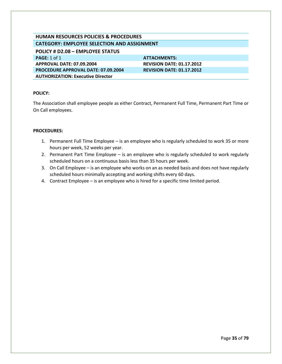# **HUMAN RESOURCES POLICIES & PROCEDURES CATEGORY: EMPLOYEE SELECTION AND ASSIGNMENT**

<span id="page-35-0"></span>**POLICY # D2.08 – EMPLOYEE STATUS PAGE:** 1 of 1 **ATTACHMENTS:** 

**APPROVAL DATE: 07.09.2004 REVISION DATE: 01.17.2012 PROCEDURE APPROVAL DATE: 07.09.2004 REVISION DATE: 01.17.2012**

**AUTHORIZATION: Executive Director**

# **POLICY:**

The Association shall employee people as either Contract, Permanent Full Time, Permanent Part Time or On Call employees.

- 1. Permanent Full Time Employee is an employee who is regularly scheduled to work 35 or more hours per week, 52 weeks per year.
- 2. Permanent Part Time Employee is an employee who is regularly scheduled to work regularly scheduled hours on a continuous basis less than 35 hours per week.
- 3. On Call Employee is an employee who works on an as needed basis and does not have regularly scheduled hours minimally accepting and working shifts every 60 days.
- 4. Contract Employee is an employee who is hired for a specific time limited period.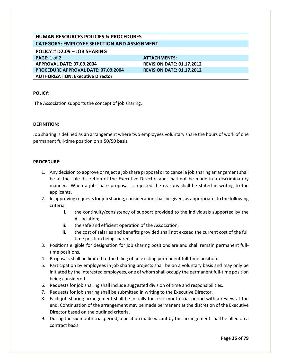# **HUMAN RESOURCES POLICIES & PROCEDURES CATEGORY: EMPLOYEE SELECTION AND ASSIGNMENT**

**POLICY # D2.09 – JOB SHARING**

**PAGE:** 1 of 2 **ATTACHMENTS: ATTACHMENTS: APPROVAL DATE: 07.09.2004 REVISION DATE: 01.17.2012 PROCEDURE APPROVAL DATE: 07.09.2004 REVISION DATE: 01.17.2012 AUTHORIZATION: Executive Director**

## **POLICY:**

The Association supports the concept of job sharing.

### **DEFINITION:**

Job sharing is defined as an arrangement where two employees voluntary share the hours of work of one permanent full-time position on a 50/50 basis.

- 1. Any decision to approve or reject a job share proposal or to cancel a job sharing arrangement shall be at the sole discretion of the Executive Director and shall not be made in a discriminatory manner. When a job share proposal is rejected the reasons shall be stated in writing to the applicants.
- 2. In approving requests for job sharing, consideration shall be given, as appropriate, to the following criteria:
	- i. the continuity/consistency of support provided to the individuals supported by the Association;
	- ii. the safe and efficient operation of the Association;
	- iii. the cost of salaries and benefits provided shall not exceed the current cost of the full time position being shared.
- 3. Positions eligible for designation for job sharing positions are and shall remain permanent fulltime positions.
- 4. Proposals shall be limited to the filling of an existing permanent full-time position.
- 5. Participation by employees in job sharing projects shall be on a voluntary basis and may only be initiated by the interested employees, one of whom shall occupy the permanent full-time position being considered.
- 6. Requests for job sharing shall include suggested division of time and responsibilities.
- 7. Requests for job sharing shall be submitted in writing to the Executive Director.
- 8. Each job sharing arrangement shall be initially for a six-month trial period with a review at the end. Continuation of the arrangement may be made permanent at the discretion of the Executive Director based on the outlined criteria.
- 9. During the six-month trial period, a position made vacant by this arrangement shall be filled on a contract basis.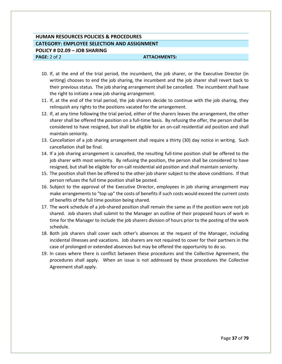# **HUMAN RESOURCES POLICIES & PROCEDURES CATEGORY: EMPLOYEE SELECTION AND ASSIGNMENT POLICY # D2.09 – JOB SHARING PAGE:** 2 of 2 **ATTACHMENTS: ATTACHMENTS:**

10. If, at the end of the trial period, the incumbent, the job sharer, or the Executive Director (in writing) chooses to end the job sharing, the incumbent and the job sharer shall revert back to their previous status. The job sharing arrangement shall be cancelled. The incumbent shall have the right to initiate a new job sharing arrangement.

- 11. If, at the end of the trial period, the job sharers decide to continue with the job sharing, they relinquish any rights to the positions vacated for the arrangement.
- 12. If, at any time following the trial period, either of the sharers leaves the arrangement, the other sharer shall be offered the position on a full-time basis. By refusing the offer, the person shall be considered to have resigned, but shall be eligible for an on-call residential aid position and shall maintain seniority.
- 13. Cancellation of a job sharing arrangement shall require a thirty (30) day notice in writing. Such cancellation shall be final.
- 14. If a job sharing arrangement is cancelled, the resulting full-time position shall be offered to the job sharer with most seniority. By refusing the position, the person shall be considered to have resigned, but shall be eligible for on-call residential aid position and shall maintain seniority.
- 15. The position shall then be offered to the other job sharer subject to the above conditions. If that person refuses the full time position shall be posted.
- 16. Subject to the approval of the Executive Director, employees in job sharing arrangement may make arrangements to "top up" the costs of benefits if such costs would exceed the current costs of benefits of the full time position being shared.
- 17. The work schedule of a job-shared position shall remain the same as if the position were not job shared. Job sharers shall submit to the Manager an outline of their proposed hours of work in time for the Manager to include the job sharers division of hours prior to the posting of the work schedule.
- 18. Both job sharers shall cover each other's absences at the request of the Manager, including incidental illnesses and vacations. Job sharers are not required to cover for their partners in the case of prolonged or extended absences but may be offered the opportunity to do so.
- 19. In cases where there is conflict between these procedures and the Collective Agreement, the procedures shall apply. When an issue is not addressed by these procedures the Collective Agreement shall apply.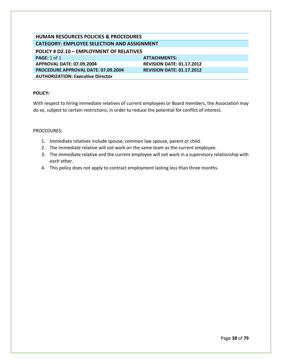# **HUMAN RESOURCES POLICIES & PROCEDURES CATEGORY: EMPLOYEE SELECTION AND ASSIGNMENT**

| <b>POLICY # D2.10 - EMPLOYMENT OF RELATIVES</b> |                                  |  |
|-------------------------------------------------|----------------------------------|--|
| PAGE: 1 of 1                                    | ATTACHMENTS:                     |  |
| APPROVAL DATE: 07.09.2004                       | <b>REVISION DATE: 01.17.2012</b> |  |
| <b>PROCEDURE APPROVAL DATE: 07.09.2004</b>      | <b>REVISION DATE: 01.17.2012</b> |  |
| <b>AUTHORIZATION: Executive Director</b>        |                                  |  |

# **POLICY:**

With respect to hiring immediate relatives of current employees or Board members, the Association may do so, subject to certain restrictions, in order to reduce the potential for conflict of interest.

- 1. Immediate relatives include spouse, common law spouse, parent or child.
- 2. The immediate relative will not work on the same team as the current employee.
- 3. The immediate relative and the current employee will not work in a supervisory relationship with each other.
- 4. This policy does not apply to contract employment lasting less than three months.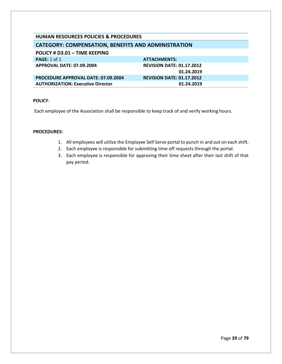# **HUMAN RESOURCES POLICIES & PROCEDURES**

# **CATEGORY: COMPENSATION, BENEFITS AND ADMINISTRATION**

| POLICY # D3.01 - TIME KEEPING              |                                                |
|--------------------------------------------|------------------------------------------------|
| <b>PAGE:</b> 1 of 1                        | ATTACHMENTS:                                   |
| <b>APPROVAL DATE: 07.09.2004</b>           | <b>REVISION DATE: 01.17.2012</b><br>01.24.2019 |
| <b>PROCEDURE APPROVAL DATE: 07.09.2004</b> | <b>REVISION DATE: 01.17.2012</b>               |
| <b>AUTHORIZATION: Executive Director</b>   | 01.24.2019                                     |

#### **POLICY**:

Each employee of the Association shall be responsible to keep track of and verify working hours.

- 1. All employees will utilize the Employee Self Serve portal to punch in and out on each shift.
- 2. Each employee is responsible for submitting time off requests through the portal.
- 3. Each employee is responsible for approving their time sheet after their last shift of that pay period.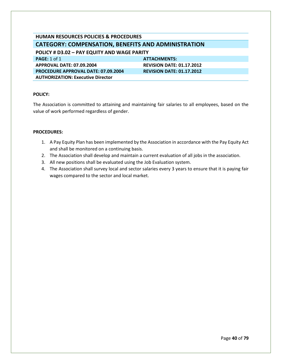# **HUMAN RESOURCES POLICIES & PROCEDURES CATEGORY: COMPENSATION, BENEFITS AND ADMINISTRATION POLICY # D3.02 – PAY EQUITY AND WAGE PARITY**

**PAGE:** 1 of 1 **ATTACHMENTS: APPROVAL DATE: 07.09.2004 REVISION DATE: 01.17.2012 PROCEDURE APPROVAL DATE: 07.09.2004 REVISION DATE: 01.17.2012 AUTHORIZATION: Executive Director**

# **POLICY:**

The Association is committed to attaining and maintaining fair salaries to all employees, based on the value of work performed regardless of gender.

- 1. A Pay Equity Plan has been implemented by the Association in accordance with the Pay Equity Act and shall be monitored on a continuing basis.
- 2. The Association shall develop and maintain a current evaluation of all jobs in the association.
- 3. All new positions shall be evaluated using the Job Evaluation system.
- 4. The Association shall survey local and sector salaries every 3 years to ensure that it is paying fair wages compared to the sector and local market.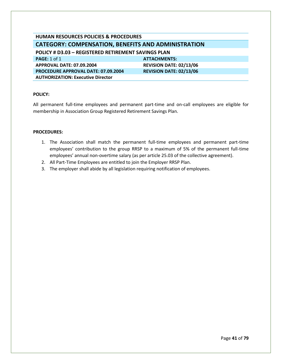| HUMAN RESOURCES POLICIES & PROCEDURES                      |  |  |
|------------------------------------------------------------|--|--|
| <b>CATEGORY: COMPENSATION, BENEFITS AND ADMINISTRATION</b> |  |  |
| POLICY # D3.03 - REGISTERED RETIREMENT SAVINGS PLAN        |  |  |
| <b>ATTACHMENTS:</b>                                        |  |  |
| <b>REVISION DATE: 02/13/06</b>                             |  |  |
| <b>REVISION DATE: 02/13/06</b>                             |  |  |
|                                                            |  |  |
|                                                            |  |  |

All permanent full-time employees and permanent part-time and on-call employees are eligible for membership in Association Group Registered Retirement Savings Plan.

- 1. The Association shall match the permanent full-time employees and permanent part-time employees' contribution to the group RRSP to a maximum of 5% of the permanent full-time employees' annual non-overtime salary (as per article 25.03 of the collective agreement).
- 2. All Part-Time Employees are entitled to join the Employer RRSP Plan.
- 3. The employer shall abide by all legislation requiring notification of employees.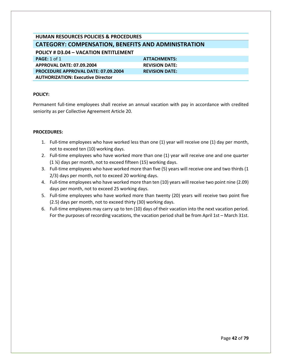# **HUMAN RESOURCES POLICIES & PROCEDURES CATEGORY: COMPENSATION, BENEFITS AND ADMINISTRATION POLICY # D3.04 – VACATION ENTITLEMENT**

**PAGE:** 1 of 1 **ATTACHMENTS: APPROVAL DATE: 07.09.2004 REVISION DATE: PROCEDURE APPROVAL DATE: 07.09.2004 REVISION DATE: AUTHORIZATION: Executive Director**

# **POLICY:**

Permanent full-time employees shall receive an annual vacation with pay in accordance with credited seniority as per Collective Agreement Article 20.

- 1. Full-time employees who have worked less than one (1) year will receive one (1) day per month, not to exceed ten (10) working days.
- 2. Full-time employees who have worked more than one (1) year will receive one and one quarter (1 ¼) days per month, not to exceed fifteen (15) working days.
- 3. Full-time employees who have worked more than five (5) years will receive one and two thirds (1 2/3) days per month, not to exceed 20 working days.
- 4. Full-time employees who have worked more than ten (10) years will receive two point nine (2.09) days per month, not to exceed 25 working days.
- 5. Full-time employees who have worked more than twenty (20) years will receive two point five (2.5) days per month, not to exceed thirty (30) working days.
- 6. Full-time employees may carry up to ten (10) days of their vacation into the next vacation period. For the purposes of recording vacations, the vacation period shall be from April 1st – March 31st.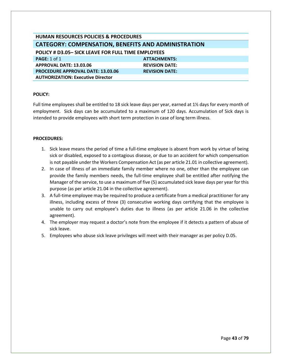| <b>HUMAN RESOURCES POLICIES &amp; PROCEDURES</b>           |                       |  |
|------------------------------------------------------------|-----------------------|--|
| <b>CATEGORY: COMPENSATION, BENEFITS AND ADMINISTRATION</b> |                       |  |
| POLICY # D3.05- SICK LEAVE FOR FULL TIME EMPLOYEES         |                       |  |
| <b>PAGE: 1 of 1</b>                                        | <b>ATTACHMENTS:</b>   |  |
| APPROVAL DATE: 13.03.06                                    | <b>REVISION DATE:</b> |  |
| <b>PROCEDURE APPROVAL DATE: 13.03.06</b>                   | <b>REVISION DATE:</b> |  |
| <b>AUTHORIZATION: Executive Director</b>                   |                       |  |
|                                                            |                       |  |

Full time employees shall be entitled to 18 sick leave days per year, earned at 1½ days for every month of employment. Sick days can be accumulated to a maximum of 120 days. Accumulation of Sick days is intended to provide employees with short term protection in case of long term illness.

- 1. Sick leave means the period of time a full-time employee is absent from work by virtue of being sick or disabled, exposed to a contagious disease, or due to an accident for which compensation is not payable under the Workers Compensation Act (as per article 21.01 in collective agreement).
- 2. In case of illness of an immediate family member where no one, other than the employee can provide the family members needs, the full-time employee shall be entitled after notifying the Manager of the service, to use a maximum of five (5) accumulated sick leave days per year for this purpose (as per article 21.04 in the collective agreement).
- 3. A full-time employee may be required to produce a certificate from a medical practitioner for any illness, including excess of three (3) consecutive working days certifying that the employee is unable to carry out employee's duties due to illness (as per article 21.06 in the collective agreement).
- 4. The employer may request a doctor's note from the employee if it detects a pattern of abuse of sick leave.
- 5. Employees who abuse sick leave privileges will meet with their manager as per policy D.05.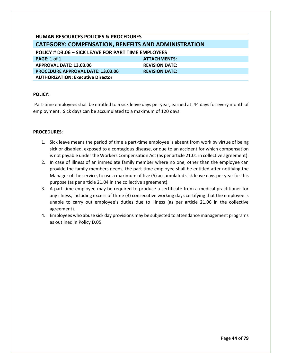| <b>HUMAN RESOURCES POLICIES &amp; PROCEDURES</b>           |                       |  |
|------------------------------------------------------------|-----------------------|--|
| <b>CATEGORY: COMPENSATION, BENEFITS AND ADMINISTRATION</b> |                       |  |
| <b>POLICY # D3.06 - SICK LEAVE FOR PART TIME EMPLOYEES</b> |                       |  |
| PAGE: $1$ of $1$                                           | <b>ATTACHMENTS:</b>   |  |
| APPROVAL DATE: 13.03.06                                    | <b>REVISION DATE:</b> |  |
| <b>PROCEDURE APPROVAL DATE: 13.03.06</b>                   | <b>REVISION DATE:</b> |  |
| <b>AUTHORIZATION: Executive Director</b>                   |                       |  |
|                                                            |                       |  |

Part-time employees shall be entitled to 5 sick leave days per year, earned at .44 days for every month of employment. Sick days can be accumulated to a maximum of 120 days.

- 1. Sick leave means the period of time a part-time employee is absent from work by virtue of being sick or disabled, exposed to a contagious disease, or due to an accident for which compensation is not payable under the Workers Compensation Act (as per article 21.01 in collective agreement).
- 2. In case of illness of an immediate family member where no one, other than the employee can provide the family members needs, the part-time employee shall be entitled after notifying the Manager of the service, to use a maximum of five (5) accumulated sick leave days per year for this purpose (as per article 21.04 in the collective agreement).
- 3. A part-time employee may be required to produce a certificate from a medical practitioner for any illness, including excess of three (3) consecutive working days certifying that the employee is unable to carry out employee's duties due to illness (as per article 21.06 in the collective agreement).
- 4. Employees who abuse sick day provisions may be subjected to attendance management programs as outlined in Policy D.05.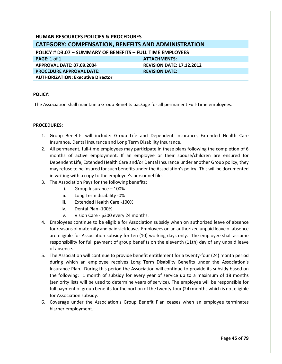# **HUMAN RESOURCES POLICIES & PROCEDURES CATEGORY: COMPENSATION, BENEFITS AND ADMINISTRATION POLICY # D3.07 – SUMMARY OF BENEFITS – FULL TIME EMPLOYEES PAGE:** 1 of 1 **ATTACHMENTS: ATTACHMENTS: APPROVAL DATE: 07.09.2004 REVISION DATE: 17.12.2012 PROCEDURE APPROVAL DATE:** REVISION DATE: **AUTHORIZATION: Executive Director**

# **POLICY:**

The Association shall maintain a Group Benefits package for all permanent Full-Time employees.

- 1. Group Benefits will include: Group Life and Dependent Insurance, Extended Health Care Insurance, Dental Insurance and Long Term Disability Insurance.
- 2. All permanent, full-time employees may participate in these plans following the completion of 6 months of active employment. If an employee or their spouse/children are ensured for Dependent Life, Extended Health Care and/or Dental Insurance under another Group policy, they may refuse to be insured for such benefits under the Association's policy. This will be documented in writing with a copy to the employee's personnel file.
- 3. The Association Pays for the following benefits:
	- i. Group Insurance 100%
	- ii. Long Term disability -0%
	- iii. Extended Health Care -100%
	- iv. Dental Plan -100%
	- v. Vision Care \$300 every 24 months.
- 4. Employees continue to be eligible for Association subsidy when on authorized leave of absence for reasons of maternity and paid sick leave. Employees on an authorized unpaid leave of absence are eligible for Association subsidy for ten (10) working days only. The employee shall assume responsibility for full payment of group benefits on the eleventh (11th) day of any unpaid leave of absence.
- 5. The Association will continue to provide benefit entitlement for a twenty-four (24) month period during which an employee receives Long Term Disability Benefits under the Association's Insurance Plan. During this period the Association will continue to provide its subsidy based on the following: 1 month of subsidy for every year of service up to a maximum of 18 months (seniority lists will be used to determine years of service). The employee will be responsible for full payment of group benefits for the portion of the twenty-four (24) months which is not eligible for Association subsidy.
- 6. Coverage under the Association's Group Benefit Plan ceases when an employee terminates his/her employment.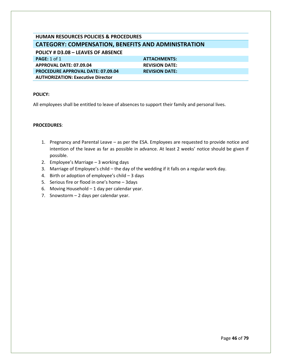# **HUMAN RESOURCES POLICIES & PROCEDURES CATEGORY: COMPENSATION, BENEFITS AND ADMINISTRATION**

**POLICY # D3.08 – LEAVES OF ABSENCE PAGE:** 1 of 1 **ATTACHMENTS: APPROVAL DATE: 07.09.04 REVISION DATE: PROCEDURE APPROVAL DATE: 07.09.04 REVISION DATE: AUTHORIZATION: Executive Director**

# **POLICY:**

All employees shall be entitled to leave of absences to support their family and personal lives.

- 1. Pregnancy and Parental Leave as per the ESA. Employees are requested to provide notice and intention of the leave as far as possible in advance. At least 2 weeks' notice should be given if possible.
- 2. Employee's Marriage 3 working days
- 3. Marriage of Employee's child the day of the wedding if it falls on a regular work day.
- 4. Birth or adoption of employee's child 3 days
- 5. Serious fire or flood in one's home 3days
- 6. Moving Household 1 day per calendar year.
- 7. Snowstorm 2 days per calendar year.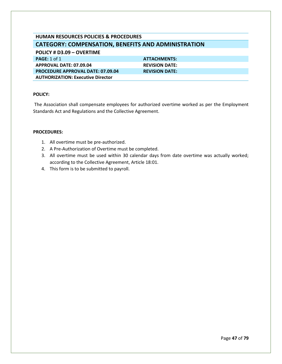# **HUMAN RESOURCES POLICIES & PROCEDURES CATEGORY: COMPENSATION, BENEFITS AND ADMINISTRATION**

# **POLICY # D3.09 – OVERTIME**

**PAGE:** 1 of 1 **ATTACHMENTS: APPROVAL DATE: 07.09.04 REVISION DATE: PROCEDURE APPROVAL DATE: 07.09.04 REVISION DATE: AUTHORIZATION: Executive Director**

# **POLICY:**

The Association shall compensate employees for authorized overtime worked as per the Employment Standards Act and Regulations and the Collective Agreement.

- 1. All overtime must be pre-authorized.
- 2. A Pre-Authorization of Overtime must be completed.
- 3. All overtime must be used within 30 calendar days from date overtime was actually worked; according to the Collective Agreement, Article 18:01.
- 4. This form is to be submitted to payroll.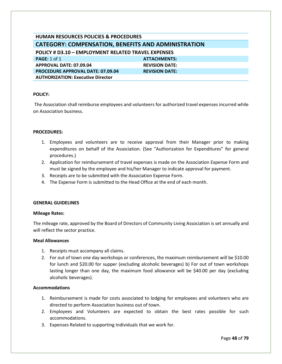| <b>HUMAN RESOURCES POLICIES &amp; PROCEDURES</b>           |                       |  |
|------------------------------------------------------------|-----------------------|--|
| <b>CATEGORY: COMPENSATION, BENEFITS AND ADMINISTRATION</b> |                       |  |
| POLICY # D3.10 - EMPLOYMENT RELATED TRAVEL EXPENSES        |                       |  |
| PAGE: $1$ of $1$                                           | <b>ATTACHMENTS:</b>   |  |
| APPROVAL DATE: 07.09.04                                    | <b>REVISION DATE:</b> |  |
| <b>PROCEDURE APPROVAL DATE: 07.09.04</b>                   | <b>REVISION DATE:</b> |  |
| <b>AUTHORIZATION: Executive Director</b>                   |                       |  |
|                                                            |                       |  |

The Association shall reimburse employees and volunteers for authorized travel expenses incurred while on Association business.

### **PROCEDURES:**

- 1. Employees and volunteers are to receive approval from their Manager prior to making expenditures on behalf of the Association. (See "Authorization for Expenditures" for general procedures.)
- 2. Application for reimbursement of travel expenses is made on the Association Expense Form and must be signed by the employee and his/her Manager to indicate approval for payment.
- 3. Receipts are to be submitted with the Association Expense Form.
- 4. The Expense Form is submitted to the Head Office at the end of each month.

#### **GENERAL GUIDELINES**

#### **Mileage Rates:**

The mileage rate, approved by the Board of Directors of Community Living Association is set annually and will reflect the sector practice.

#### **Meal Allowances**

- 1. Receipts must accompany all claims.
- 2. For out of town one day workshops or conferences, the maximum reimbursement will be \$10.00 for lunch and \$20.00 for supper (excluding alcoholic beverages) b) For out of town workshops lasting longer than one day, the maximum food allowance will be \$40.00 per day (excluding alcoholic beverages).

# **Accommodations**

- 1. Reimbursement is made for costs associated to lodging for employees and volunteers who are directed to perform Association business out of town.
- 2. Employees and Volunteers are expected to obtain the best rates possible for such accommodations.
- 3. Expenses Related to supporting Individuals that we work for.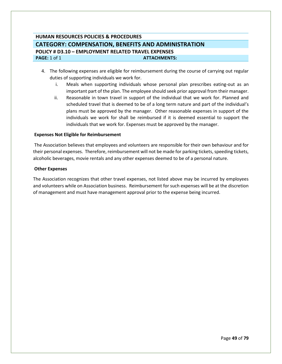# **HUMAN RESOURCES POLICIES & PROCEDURES CATEGORY: COMPENSATION, BENEFITS AND ADMINISTRATION POLICY # D3.10 – EMPLOYMENT RELATED TRAVEL EXPENSES PAGE:** 1 of 1 **ATTACHMENTS:**

- 4. The following expenses are eligible for reimbursement during the course of carrying out regular duties of supporting individuals we work for.
	- i. Meals when supporting individuals whose personal plan prescribes eating-out as an important part of the plan. The employee should seek prior approval from their manager.
	- ii. Reasonable in town travel in support of the individual that we work for. Planned and scheduled travel that is deemed to be of a long term nature and part of the individual's plans must be approved by the manager. Other reasonable expenses in support of the individuals we work for shall be reimbursed if it is deemed essential to support the individuals that we work for. Expenses must be approved by the manager.

# **Expenses Not Eligible for Reimbursement**

The Association believes that employees and volunteers are responsible for their own behaviour and for their personal expenses. Therefore, reimbursement will not be made for parking tickets, speeding tickets, alcoholic beverages, movie rentals and any other expenses deemed to be of a personal nature.

#### **Other Expenses**

The Association recognizes that other travel expenses, not listed above may be incurred by employees and volunteers while on Association business. Reimbursement for such expenses will be at the discretion of management and must have management approval prior to the expense being incurred.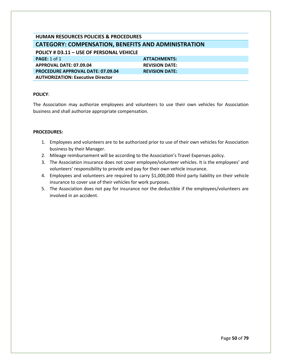# **HUMAN RESOURCES POLICIES & PROCEDURES CATEGORY: COMPENSATION, BENEFITS AND ADMINISTRATION POLICY # D3.11 – USE OF PERSONAL VEHICLE PAGE:** 1 of 1 **ATTACHMENTS: APPROVAL DATE: 07.09.04 REVISION DATE: PROCEDURE APPROVAL DATE: 07.09.04 REVISION DATE:**

### **POLICY**:

**AUTHORIZATION: Executive Director**

The Association may authorize employees and volunteers to use their own vehicles for Association business and shall authorize appropriate compensation.

- 1. Employees and volunteers are to be authorized prior to use of their own vehicles for Association business by their Manager.
- 2. Mileage reimbursement will be according to the Association's Travel Expenses policy.
- 3. The Association insurance does not cover employee/volunteer vehicles. It is the employees' and volunteers' responsibility to provide and pay for their own vehicle insurance.
- 4. Employees and volunteers are required to carry \$1,000,000 third party liability on their vehicle insurance to cover use of their vehicles for work purposes.
- 5. The Association does not pay for insurance nor the deductible if the employees/volunteers are involved in an accident.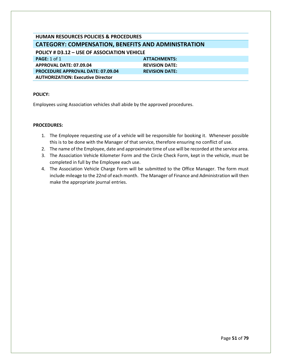# **HUMAN RESOURCES POLICIES & PROCEDURES CATEGORY: COMPENSATION, BENEFITS AND ADMINISTRATION POLICY # D3.12 – USE OF ASSOCIATION VEHICLE PAGE:** 1 of 1 **ATTACHMENTS:**

**APPROVAL DATE: 07.09.04 REVISION DATE: PROCEDURE APPROVAL DATE: 07.09.04 REVISION DATE: AUTHORIZATION: Executive Director**

# **POLICY:**

Employees using Association vehicles shall abide by the approved procedures.

- 1. The Employee requesting use of a vehicle will be responsible for booking it. Whenever possible this is to be done with the Manager of that service, therefore ensuring no conflict of use.
- 2. The name of the Employee, date and approximate time of use will be recorded at the service area.
- 3. The Association Vehicle Kilometer Form and the Circle Check Form, kept in the vehicle, must be completed in full by the Employee each use.
- 4. The Association Vehicle Charge Form will be submitted to the Office Manager. The form must include mileage to the 22nd of each month. The Manager of Finance and Administration will then make the appropriate journal entries.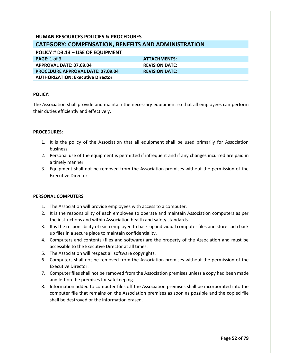# **HUMAN RESOURCES POLICIES & PROCEDURES CATEGORY: COMPENSATION, BENEFITS AND ADMINISTRATION**

**POLICY # D3.13 – USE OF EQUIPMENT PAGE:** 1 of 3 **ATTACHMENTS: ATTACHMENTS: APPROVAL DATE: 07.09.04 REVISION DATE: PROCEDURE APPROVAL DATE: 07.09.04 REVISION DATE: AUTHORIZATION: Executive Director**

# **POLICY:**

The Association shall provide and maintain the necessary equipment so that all employees can perform their duties efficiently and effectively.

# **PROCEDURES:**

- 1. It is the policy of the Association that all equipment shall be used primarily for Association business.
- 2. Personal use of the equipment is permitted if infrequent and if any changes incurred are paid in a timely manner.
- 3. Equipment shall not be removed from the Association premises without the permission of the Executive Director.

# **PERSONAL COMPUTERS**

- 1. The Association will provide employees with access to a computer.
- 2. It is the responsibility of each employee to operate and maintain Association computers as per the instructions and within Association health and safety standards.
- 3. It is the responsibility of each employee to back-up individual computer files and store such back up files in a secure place to maintain confidentiality.
- 4. Computers and contents (files and software) are the property of the Association and must be accessible to the Executive Director at all times.
- 5. The Association will respect all software copyrights.
- 6. Computers shall not be removed from the Association premises without the permission of the Executive Director.
- 7. Computer files shall not be removed from the Association premises unless a copy had been made and left on the premises for safekeeping.
- 8. Information added to computer files off the Association premises shall be incorporated into the computer file that remains on the Association premises as soon as possible and the copied file shall be destroyed or the information erased.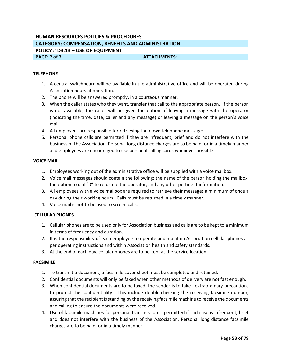# **HUMAN RESOURCES POLICIES & PROCEDURES CATEGORY: COMPENSATION, BENEFITS AND ADMINISTRATION POLICY # D3.13 – USE OF EQUIPMENT PAGE:** 2 of 3 **ATTACHMENTS: ATTACHMENTS:**

#### **TELEPHONE**

- 1. A central switchboard will be available in the administrative office and will be operated during Association hours of operation.
- 2. The phone will be answered promptly, in a courteous manner.
- 3. When the caller states who they want, transfer that call to the appropriate person. If the person is not available, the caller will be given the option of leaving a message with the operator (indicating the time, date, caller and any message) or leaving a message on the person's voice mail.
- 4. All employees are responsible for retrieving their own telephone messages.
- 5. Personal phone calls are permitted if they are infrequent, brief and do not interfere with the business of the Association. Personal long distance charges are to be paid for in a timely manner and employees are encouraged to use personal calling cards whenever possible.

#### **VOICE MAIL**

- 1. Employees working out of the administrative office will be supplied with a voice mailbox.
- 2. Voice mail messages should contain the following: the name of the person holding the mailbox, the option to dial "0" to return to the operator, and any other pertinent information.
- 3. All employees with a voice mailbox are required to retrieve their messages a minimum of once a day during their working hours. Calls must be returned in a timely manner.
- 4. Voice mail is not to be used to screen calls.

#### **CELLULAR PHONES**

- 1. Cellular phones are to be used only for Association business and calls are to be kept to a minimum in terms of frequency and duration.
- 2. It is the responsibility of each employee to operate and maintain Association cellular phones as per operating instructions and within Association health and safety standards.
- 3. At the end of each day, cellular phones are to be kept at the service location.

#### **FACSIMILE**

- 1. To transmit a document, a facsimile cover sheet must be completed and retained.
- 2. Confidential documents will only be faxed when other methods of delivery are not fast enough.
- 3. When confidential documents are to be faxed, the sender is to take extraordinary precautions to protect the confidentiality. This include double-checking the receiving facsimile number, assuring that the recipient is standing by the receiving facsimile machine to receive the documents and calling to ensure the documents were received.
- 4. Use of facsimile machines for personal transmission is permitted if such use is infrequent, brief and does not interfere with the business of the Association. Personal long distance facsimile charges are to be paid for in a timely manner.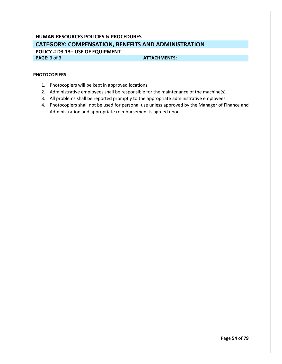# **HUMAN RESOURCES POLICIES & PROCEDURES CATEGORY: COMPENSATION, BENEFITS AND ADMINISTRATION POLICY # D3.13– USE OF EQUIPMENT**

**PAGE:** 3 of 3 **ATTACHMENTS:** 

# **PHOTOCOPIERS**

- 1. Photocopiers will be kept in approved locations.
- 2. Administrative employees shall be responsible for the maintenance of the machine(s).
- 3. All problems shall be reported promptly to the appropriate administrative employees.
- 4. Photocopiers shall not be used for personal use unless approved by the Manager of Finance and Administration and appropriate reimbursement is agreed upon.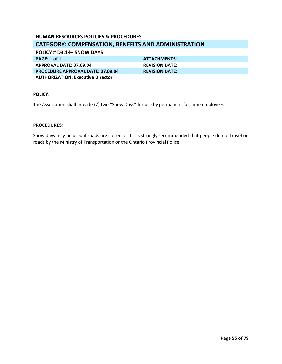# **HUMAN RESOURCES POLICIES & PROCEDURES CATEGORY: COMPENSATION, BENEFITS AND ADMINISTRATION**

# **POLICY # D3.14– SNOW DAYS**

**PAGE:** 1 of 1 **ATTACHMENTS: APPROVAL DATE: 07.09.04 REVISION DATE: PROCEDURE APPROVAL DATE: 07.09.04 REVISION DATE: AUTHORIZATION: Executive Director**

# **POLICY**:

The Association shall provide (2) two "Snow Days" for use by permanent full-time employees.

# **PROCEDURES:**

Snow days may be used if roads are closed or if it is strongly recommended that people do not travel on roads by the Ministry of Transportation or the Ontario Provincial Police.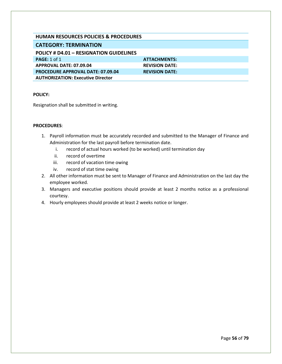| HUMAN RESOURCES POLICIES & PROCEDURES          |                       |
|------------------------------------------------|-----------------------|
| <b>CATEGORY: TERMINATION</b>                   |                       |
| <b>POLICY # D4.01 - RESIGNATION GUIDELINES</b> |                       |
| PAGE: $1$ of $1$                               | <b>ATTACHMENTS:</b>   |
| APPROVAL DATE: 07.09.04                        | <b>REVISION DATE:</b> |
| <b>PROCEDURE APPROVAL DATE: 07.09.04</b>       | <b>REVISION DATE:</b> |
| <b>AUTHORIZATION: Executive Director</b>       |                       |

Resignation shall be submitted in writing.

- 1. Payroll information must be accurately recorded and submitted to the Manager of Finance and Administration for the last payroll before termination date.
	- i. record of actual hours worked (to be worked) until termination day
	- ii. record of overtime
	- iii. record of vacation time owing
	- iv. record of stat time owing
- 2. All other information must be sent to Manager of Finance and Administration on the last day the employee worked.
- 3. Managers and executive positions should provide at least 2 months notice as a professional courtesy.
- 4. Hourly employees should provide at least 2 weeks notice or longer.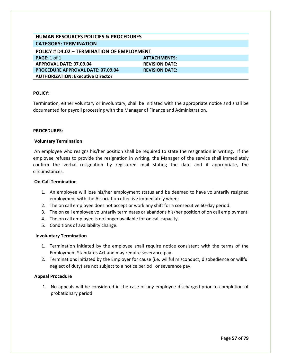| <b>HUMAN RESOURCES POLICIES &amp; PROCEDURES</b> |                       |  |
|--------------------------------------------------|-----------------------|--|
| <b>CATEGORY: TERMINATION</b>                     |                       |  |
| POLICY # D4.02 - TERMINATION OF EMPLOYMENT       |                       |  |
| <b>PAGE: 1 of 1</b>                              | <b>ATTACHMENTS:</b>   |  |
| APPROVAL DATE: 07.09.04                          | <b>REVISION DATE:</b> |  |
| <b>PROCEDURE APPROVAL DATE: 07.09.04</b>         | <b>REVISION DATE:</b> |  |
| <b>AUTHORIZATION: Executive Director</b>         |                       |  |

Termination, either voluntary or involuntary, shall be initiated with the appropriate notice and shall be documented for payroll processing with the Manager of Finance and Administration.

#### **PROCEDURES:**

#### **Voluntary Termination**

An employee who resigns his/her position shall be required to state the resignation in writing. If the employee refuses to provide the resignation in writing, the Manager of the service shall immediately confirm the verbal resignation by registered mail stating the date and if appropriate, the circumstances.

## **On-Call Termination**

- 1. An employee will lose his/her employment status and be deemed to have voluntarily resigned employment with the Association effective immediately when:
- 2. The on call employee does not accept or work any shift for a consecutive 60-day period.
- 3. The on call employee voluntarily terminates or abandons his/her position of on call employment.
- 4. The on call employee is no longer available for on call capacity.
- 5. Conditions of availability change.

#### **Involuntary Termination**

- 1. Termination initiated by the employee shall require notice consistent with the terms of the Employment Standards Act and may require severance pay.
- 2. Terminations initiated by the Employer for cause (i.e. willful misconduct, disobedience or willful neglect of duty) are not subject to a notice period or severance pay.

#### **Appeal Procedure**

1. No appeals will be considered in the case of any employee discharged prior to completion of probationary period.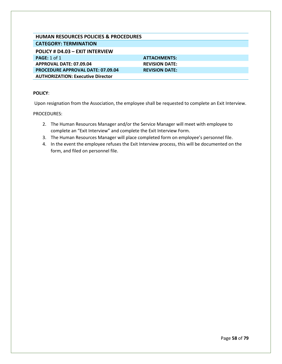# **HUMAN RESOURCES POLICIES & PROCEDURES CATEGORY: TERMINATION**

# **POLICY # D4.03 – EXIT INTERVIEW**

| <b>PAGE:</b> 1 of 1                      | <b>ATTACHMENTS:</b>   |
|------------------------------------------|-----------------------|
| APPROVAL DATE: 07.09.04                  | <b>REVISION DATE:</b> |
| <b>PROCEDURE APPROVAL DATE: 07.09.04</b> | <b>REVISION DATE:</b> |
| <b>AUTHORIZATION: Executive Director</b> |                       |

# **POLICY**:

Upon resignation from the Association, the employee shall be requested to complete an Exit Interview.

- 2. The Human Resources Manager and/or the Service Manager will meet with employee to complete an "Exit Interview" and complete the Exit Interview Form.
- 3. The Human Resources Manager will place completed form on employee's personnel file.
- 4. In the event the employee refuses the Exit Interview process, this will be documented on the form, and filed on personnel file.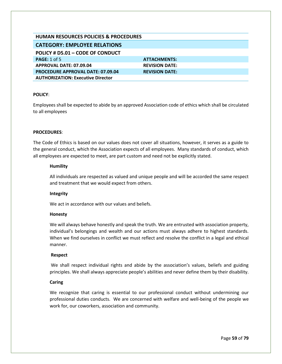| <b>HUMAN RESOURCES POLICIES &amp; PROCEDURES</b> |                       |
|--------------------------------------------------|-----------------------|
| <b>CATEGORY: EMPLOYEE RELATIONS</b>              |                       |
| POLICY # D5.01 - CODE OF CONDUCT                 |                       |
| <b>PAGE: 1 of 5</b>                              | <b>ATTACHMENTS:</b>   |
| APPROVAL DATE: 07.09.04                          | <b>REVISION DATE:</b> |
| <b>PROCEDURE APPROVAL DATE: 07.09.04</b>         | <b>REVISION DATE:</b> |
| <b>AUTHORIZATION: Executive Director</b>         |                       |

Employees shall be expected to abide by an approved Association code of ethics which shall be circulated to all employees

#### **PROCEDURES**:

The Code of Ethics is based on our values does not cover all situations, however, it serves as a guide to the general conduct, which the Association expects of all employees. Many standards of conduct, which all employees are expected to meet, are part custom and need not be explicitly stated.

#### **Humility**

All individuals are respected as valued and unique people and will be accorded the same respect and treatment that we would expect from others.

# **Integrity**

We act in accordance with our values and beliefs.

#### **Honesty**

We will always behave honestly and speak the truth. We are entrusted with association property, individual's belongings and wealth and our actions must always adhere to highest standards. When we find ourselves in conflict we must reflect and resolve the conflict in a legal and ethical manner.

#### **Respect**

We shall respect individual rights and abide by the association's values, beliefs and guiding principles. We shall always appreciate people's abilities and never define them by their disability.

# **Caring**

We recognize that caring is essential to our professional conduct without undermining our professional duties conducts. We are concerned with welfare and well-being of the people we work for, our coworkers, association and community.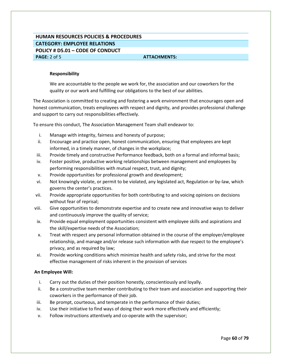# **HUMAN RESOURCES POLICIES & PROCEDURES CATEGORY: EMPLOYEE RELATIONS POLICY # D5.01 – CODE OF CONDUCT PAGE:** 2 of 5 **ATTACHMENTS: ATTACHMENTS:**

#### **Responsibility**

We are accountable to the people we work for, the association and our coworkers for the quality or our work and fulfilling our obligations to the best of our abilities.

The Association is committed to creating and fostering a work environment that encourages open and honest communication, treats employees with respect and dignity, and provides professional challenge and support to carry out responsibilities effectively.

To ensure this conduct, The Association Management Team shall endeavor to:

- i. Manage with integrity, fairness and honesty of purpose;
- ii. Encourage and practice open, honest communication, ensuring that employees are kept informed, in a timely manner, of changes in the workplace;
- iii. Provide timely and constructive Performance feedback, both on a formal and informal basis;
- iv. Foster positive, productive working relationships between management and employees by performing responsibilities with mutual respect, trust, and dignity;
- v. Provide opportunities for professional growth and development;
- vi. Not knowingly violate, or permit to be violated, any legislated act, Regulation or by-law, which governs the center's practices.
- vii. Provide appropriate opportunities for both contributing to and voicing opinions on decisions without fear of reprisal;
- viii. Give opportunities to demonstrate expertise and to create new and innovative ways to deliver and continuously improve the quality of service;
- ix. Provide equal employment opportunities consistent with employee skills and aspirations and the skill/expertise needs of the Association;
- x. Treat with respect any personal information obtained in the course of the employer/employee relationship, and manage and/or release such information with due respect to the employee's privacy, and as required by law;
- xi. Provide working conditions which minimize health and safety risks, and strive for the most effective management of risks inherent in the provision of services

#### **An Employee Will:**

- i. Carry out the duties of their position honestly, conscientiously and loyally.
- ii. Be a constructive team member contributing to their team and association and supporting their coworkers in the performance of their job.
- iii. Be prompt, courteous, and temperate in the performance of their duties;
- iv. Use their initiative to find ways of doing their work more effectively and efficiently;
- v. Follow instructions attentively and co-operate with the supervisor;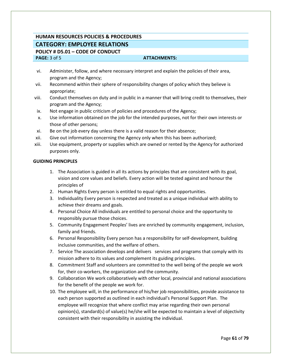# **HUMAN RESOURCES POLICIES & PROCEDURES CATEGORY: EMPLOYEE RELATIONS POLICY # D5.01 – CODE OF CONDUCT**

# **PAGE:** 3 of 5 **ATTACHMENTS:**

- vi. Administer, follow, and where necessary interpret and explain the policies of their area, program and the Agency;
- vii. Recommend within their sphere of responsibility changes of policy which they believe is appropriate;
- viii. Conduct themselves on duty and in public in a manner that will bring credit to themselves, their program and the Agency;
- ix. Not engage in public criticism of policies and procedures of the Agency;
- x. Use information obtained on the job for the intended purposes, not for their own interests or those of other persons;
- xi. Be on the job every day unless there is a valid reason for their absence;
- xii. Give out information concerning the Agency only when this has been authorized;
- xiii. Use equipment, property or supplies which are owned or rented by the Agency for authorized purposes only.

# **GUIDING PRINCIPLES**

- 1. The Association is guided in all its actions by principles that are consistent with its goal, vision and core values and beliefs. Every action will be tested against and honour the principles of
- 2. Human Rights Every person is entitled to equal rights and opportunities.
- 3. Individuality Every person is respected and treated as a unique individual with ability to achieve their dreams and goals.
- 4. Personal Choice All individuals are entitled to personal choice and the opportunity to responsibly pursue those choices.
- 5. Community Engagement Peoples' lives are enriched by community engagement, inclusion, family and friends.
- 6. Personal Responsibility Every person has a responsibility for self-development, building inclusive communities, and the welfare of others.
- 7. Service The association develops and delivers services and programs that comply with its mission adhere to its values and complement its guiding principles.
- 8. Commitment Staff and volunteers are committed to the well being of the people we work for, their co-workers, the organization and the community.
- 9. Collaboration We work collaboratively with other local, provincial and national associations for the benefit of the people we work for.
- 10. The employee will, in the performance of his/her job responsibilities, provide assistance to each person supported as outlined in each individual's Personal Support Plan. The employee will recognize that where conflict may arise regarding their own personal opinion(s), standard(s) of value(s) he/she will be expected to maintain a level of objectivity consistent with their responsibility in assisting the individual.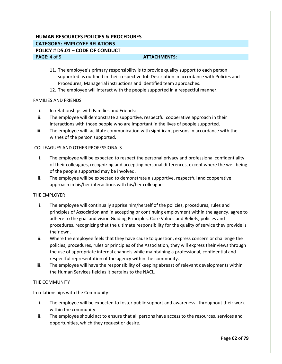# **HUMAN RESOURCES POLICIES & PROCEDURES CATEGORY: EMPLOYEE RELATIONS POLICY # D5.01 – CODE OF CONDUCT PAGE:** 4 of 5 **ATTACHMENTS: ATTACHMENTS:**

- 11. The employee's primary responsibility is to provide quality support to each person supported as outlined in their respective Job Description in accordance with Policies and Procedures, Managerial instructions and identified team approaches.
- 12. The employee will interact with the people supported in a respectful manner.

#### FAMILIES AND FRIENDS

- i. In relationships with Families and Friends:
- ii. The employee will demonstrate a supportive, respectful cooperative approach in their interactions with those people who are important in the lives of people supported.
- iii. The employee will facilitate communication with significant persons in accordance with the wishes of the person supported.

# COLLEAGUES AND OTHER PROFESSIONALS

- i. The employee will be expected to respect the personal privacy and professional confidentiality of their colleagues, recognizing and accepting personal differences, except where the well being of the people supported may be involved.
- ii. The employee will be expected to demonstrate a supportive, respectful and cooperative approach in his/her interactions with his/her colleagues

# THE EMPLOYER

- i. The employee will continually apprise him/herself of the policies, procedures, rules and principles of Association and in accepting or continuing employment within the agency, agree to adhere to the goal and vision Guiding Principles, Core Values and Beliefs, policies and procedures, recognizing that the ultimate responsibility for the quality of service they provide is their own.
- ii. Where the employee feels that they have cause to question, express concern or challenge the policies, procedures, rules or principles of the Association, they will express their views through the use of appropriate internal channels while maintaining a professional, confidential and respectful representation of the agency within the community.
- iii. The employee will have the responsibility of keeping abreast of relevant developments within the Human Services field as it pertains to the NACL.

# THE COMMUNITY

In relationships with the Community:

- i. The employee will be expected to foster public support and awareness throughout their work within the community.
- ii. The employee should act to ensure that all persons have access to the resources, services and opportunities, which they request or desire.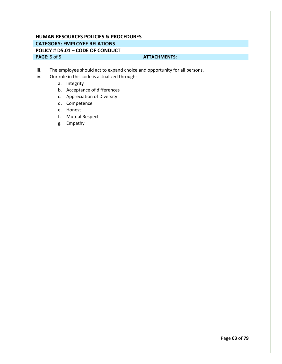# **HUMAN RESOURCES POLICIES & PROCEDURES CATEGORY: EMPLOYEE RELATIONS POLICY # D5.01 – CODE OF CONDUCT PAGE:**  $5$  of  $5$  **ATTACHMENTS: ATTACHMENTS:**

- iii. The employee should act to expand choice and opportunity for all persons.
- iv. Our role in this code is actualized through:
	- a. Integrity
	- b. Acceptance of differences
	- c. Appreciation of Diversity
	- d. Competence
	- e. Honest
	- f. Mutual Respect
	- g. Empathy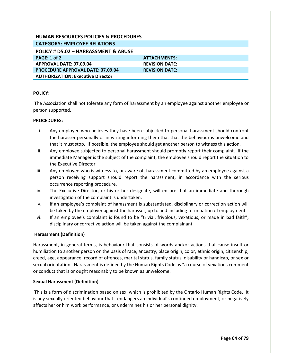| <b>HUMAN RESOURCES POLICIES &amp; PROCEDURES</b> |                       |
|--------------------------------------------------|-----------------------|
| <b>CATEGORY: EMPLOYEE RELATIONS</b>              |                       |
| POLICY # D5.02 - HARRASSMENT & ABUSE             |                       |
| PAGE: 1 of 2                                     | <b>ATTACHMENTS:</b>   |
| APPROVAL DATE: 07.09.04                          | <b>REVISION DATE:</b> |
| <b>PROCEDURE APPROVAL DATE: 07.09.04</b>         | <b>REVISION DATE:</b> |
| <b>AUTHORIZATION: Executive Director</b>         |                       |

The Association shall not tolerate any form of harassment by an employee against another employee or person supported.

# **PROCEDURES:**

- i. Any employee who believes they have been subjected to personal harassment should confront the harasser personally or in writing informing them that that the behaviour is unwelcome and that it must stop. If possible, the employee should get another person to witness this action.
- ii. Any employee subjected to personal harassment should promptly report their complaint. If the immediate Manager is the subject of the complaint, the employee should report the situation to the Executive Director.
- iii. Any employee who is witness to, or aware of, harassment committed by an employee against a person receiving support should report the harassment, in accordance with the serious occurrence reporting procedure.
- iv. The Executive Director, or his or her designate, will ensure that an immediate and thorough investigation of the complaint is undertaken.
- v. If an employee's complaint of harassment is substantiated, disciplinary or correction action will be taken by the employer against the harasser, up to and including termination of employment.
- vi. If an employee's complaint is found to be "trivial, frivolous, vexatious, or made in bad faith", disciplinary or corrective action will be taken against the complainant.

# **Harassment (Definition)**

Harassment, in general terms, is behaviour that consists of words and/or actions that cause insult or humiliation to another person on the basis of race, ancestry, place origin, color, ethnic origin, citizenship, creed, age, appearance, record of offences, marital status, family status, disability or handicap, or sex or sexual orientation. Harassment is defined by the Human Rights Code as "a course of vexatious comment or conduct that is or ought reasonably to be known as unwelcome.

# **Sexual Harassment (Definition)**

This is a form of discrimination based on sex, which is prohibited by the Ontario Human Rights Code. It is any sexually oriented behaviour that: endangers an individual's continued employment, or negatively affects her or him work performance, or undermines his or her personal dignity.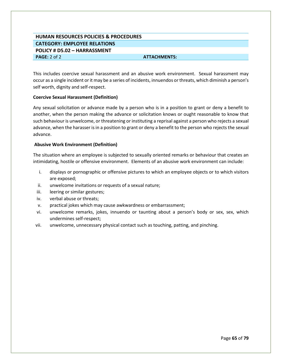# **HUMAN RESOURCES POLICIES & PROCEDURES CATEGORY: EMPLOYEE RELATIONS POLICY # D5.02 – HARRASSMENT PAGE:** 2 of 2 **ATTACHMENTS: ATTACHMENTS:**

This includes coercive sexual harassment and an abusive work environment. Sexual harassment may occur as a single incident or it may be a series of incidents, innuendos or threats, which diminish a person's self worth, dignity and self-respect.

# **Coercive Sexual Harassment (Definition)**

Any sexual solicitation or advance made by a person who is in a position to grant or deny a benefit to another, when the person making the advance or solicitation knows or ought reasonable to know that such behaviour is unwelcome, or threatening or instituting a reprisal against a person who rejects a sexual advance, when the harasser is in a position to grant or deny a benefit to the person who rejects the sexual advance.

### **Abusive Work Environment (Definition)**

The situation where an employee is subjected to sexually oriented remarks or behaviour that creates an intimidating, hostile or offensive environment. Elements of an abusive work environment can include:

- i. displays or pornographic or offensive pictures to which an employee objects or to which visitors are exposed;
- ii. unwelcome invitations or requests of a sexual nature;
- iii. leering or similar gestures;
- iv. verbal abuse or threats;
- v. practical jokes which may cause awkwardness or embarrassment;
- vi. unwelcome remarks, jokes, innuendo or taunting about a person's body or sex, sex, which undermines self-respect;
- vii. unwelcome, unnecessary physical contact such as touching, patting, and pinching.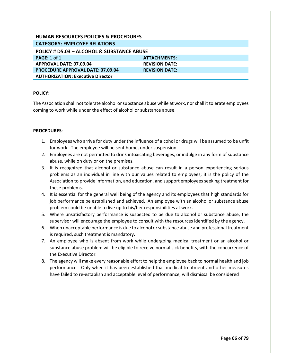| <b>HUMAN RESOURCES POLICIES &amp; PROCEDURES</b> |                       |  |
|--------------------------------------------------|-----------------------|--|
| <b>CATEGORY: EMPLOYEE RELATIONS</b>              |                       |  |
| POLICY # D5.03 - ALCOHOL & SUBSTANCE ABUSE       |                       |  |
| PAGE: $1$ of $1$                                 | <b>ATTACHMENTS:</b>   |  |
| APPROVAL DATE: 07.09.04                          | <b>REVISION DATE:</b> |  |
| <b>PROCEDURE APPROVAL DATE: 07.09.04</b>         | <b>REVISION DATE:</b> |  |
| <b>AUTHORIZATION: Executive Director</b>         |                       |  |

The Association shall not tolerate alcohol or substance abuse while at work, nor shall it tolerate employees coming to work while under the effect of alcohol or substance abuse.

- 1. Employees who arrive for duty under the influence of alcohol or drugs will be assumed to be unfit for work. The employee will be sent home, under suspension.
- 2. Employees are not permitted to drink intoxicating beverages, or indulge in any form of substance abuse, while on duty or on the premises.
- 3. It is recognized that alcohol or substance abuse can result in a person experiencing serious problems as an individual in line with our values related to employees; it is the policy of the Association to provide information, and education, and support employees seeking treatment for these problems.
- 4. It is essential for the general well being of the agency and its employees that high standards for job performance be established and achieved. An employee with an alcohol or substance abuse problem could be unable to live up to his/her responsibilities at work.
- 5. Where unsatisfactory performance is suspected to be due to alcohol or substance abuse, the supervisor will encourage the employee to consult with the resources identified by the agency.
- 6. When unacceptable performance is due to alcohol or substance abuse and professional treatment is required, such treatment is mandatory.
- 7. An employee who is absent from work while undergoing medical treatment or an alcohol or substance abuse problem will be eligible to receive normal sick benefits, with the concurrence of the Executive Director.
- 8. The agency will make every reasonable effort to help the employee back to normal health and job performance. Only when it has been established that medical treatment and other measures have failed to re-establish and acceptable level of performance, will dismissal be considered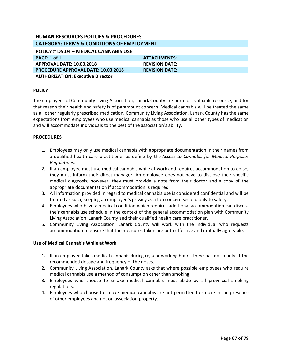| <b>HUMAN RESOURCES POLICIES &amp; PROCEDURES</b>      |                       |  |
|-------------------------------------------------------|-----------------------|--|
| <b>CATEGORY: TERMS &amp; CONDITIONS OF EMPLOYMENT</b> |                       |  |
| POLICY # D5.04 - MEDICAL CANNABIS USE                 |                       |  |
| PAGE: $1$ of $1$                                      | <b>ATTACHMENTS:</b>   |  |
| <b>APPROVAL DATE: 10.03.2018</b>                      | <b>REVISION DATE:</b> |  |
| <b>PROCEDURE APPROVAL DATE: 10.03.2018</b>            | <b>REVISION DATE:</b> |  |
| <b>AUTHORIZATION: Executive Director</b>              |                       |  |

The employees of Community Living Association, Lanark County are our most valuable resource, and for that reason their health and safety is of paramount concern. Medical cannabis will be treated the same as all other regularly prescribed medication. Community Living Association, Lanark County has the same expectations from employees who use medical cannabis as those who use all other types of medication and will accommodate individuals to the best of the association's ability.

# **PROCEDURES**

- 1. Employees may only use medical cannabis with appropriate documentation in their names from a qualified health care practitioner as define by the *Access to Cannabis for Medical Purposes Regulations.*
- 2. If an employee must use medical cannabis while at work and requires accommodation to do so, they must inform their direct manager. An employee does not have to disclose their specific medical diagnosis; however, they must provide a note from their doctor and a copy of the appropriate documentation if accommodation is required.
- 3. All information provided in regard to medical cannabis use is considered confidential and will be treated as such, keeping an employee's privacy as a top concern second only to safety.
- 4. Employees who have a medical condition which requires additional accommodation can discuss their cannabis use schedule in the context of the general accommodation plan with Community Living Association, Lanark County and their qualified health care practitioner.
- 5. Community Living Association, Lanark County will work with the individual who requests accommodation to ensure that the measures taken are both effective and mutually agreeable.

# **Use of Medical Cannabis While at Work**

- 1. If an employee takes medical cannabis during regular working hours, they shall do so only at the recommended dosage and frequency of the doses.
- 2. Community Living Association, Lanark County asks that where possible employees who require medical cannabis use a method of consumption other than smoking.
- 3. Employees who choose to smoke medical cannabis must abide by all provincial smoking regulations.
- 4. Employees who choose to smoke medical cannabis are not permitted to smoke in the presence of other employees and not on association property.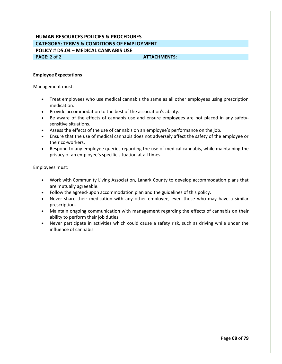# **HUMAN RESOURCES POLICIES & PROCEDURES CATEGORY: TERMS & CONDITIONS OF EMPLOYMENT POLICY # D5.04 – MEDICAL CANNABIS USE PAGE:** 2 of 2 **ATTACHMENTS: ATTACHMENTS:**

### **Employee Expectations**

#### Management must:

- Treat employees who use medical cannabis the same as all other employees using prescription medication.
- Provide accommodation to the best of the association's ability.
- Be aware of the effects of cannabis use and ensure employees are not placed in any safetysensitive situations.
- Assess the effects of the use of cannabis on an employee's performance on the job.
- Ensure that the use of medical cannabis does not adversely affect the safety of the employee or their co-workers.
- Respond to any employee queries regarding the use of medical cannabis, while maintaining the privacy of an employee's specific situation at all times.

#### Employees must:

- Work with Community Living Association, Lanark County to develop accommodation plans that are mutually agreeable.
- Follow the agreed-upon accommodation plan and the guidelines of this policy.
- Never share their medication with any other employee, even those who may have a similar prescription.
- Maintain ongoing communication with management regarding the effects of cannabis on their ability to perform their job duties.
- Never participate in activities which could cause a safety risk, such as driving while under the influence of cannabis.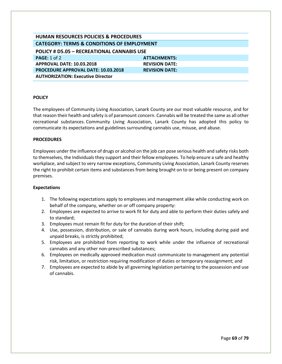| <b>HUMAN RESOURCES POLICIES &amp; PROCEDURES</b>      |                       |  |
|-------------------------------------------------------|-----------------------|--|
| <b>CATEGORY: TERMS &amp; CONDITIONS OF EMPLOYMENT</b> |                       |  |
| <b>POLICY # D5.05 - RECREATIONAL CANNABIS USE</b>     |                       |  |
| PAGE: 1 of 2                                          | <b>ATTACHMENTS:</b>   |  |
| <b>APPROVAL DATE: 10.03.2018</b>                      | <b>REVISION DATE:</b> |  |
| <b>PROCEDURE APPROVAL DATE: 10.03.2018</b>            | <b>REVISION DATE:</b> |  |
| <b>AUTHORIZATION: Executive Director</b>              |                       |  |

The employees of Community Living Association, Lanark County are our most valuable resource, and for that reason their health and safety is of paramount concern. Cannabis will be treated the same as all other recreational substances. Community Living Association, Lanark County has adopted this policy to communicate its expectations and guidelines surrounding cannabis use, misuse, and abuse.

#### **PROCEDURES**

Employees under the influence of drugs or alcohol on the job can pose serious health and safety risks both to themselves, the Individuals they support and their fellow employees. To help ensure a safe and healthy workplace, and subject to very narrow exceptions, Community Living Association, Lanark County reserves the right to prohibit certain items and substances from being brought on to or being present on company premises.

#### **Expectations**

- 1. The following expectations apply to employees and management alike while conducting work on behalf of the company, whether on or off company property:
- 2. Employees are expected to arrive to work fit for duty and able to perform their duties safely and to standard;
- 3. Employees must remain fit for duty for the duration of their shift;
- 4. Use, possession, distribution, or sale of cannabis during work hours, including during paid and unpaid breaks, is strictly prohibited;
- 5. Employees are prohibited from reporting to work while under the influence of recreational cannabis and any other non-prescribed substances;
- 6. Employees on medically approved medication must communicate to management any potential risk, limitation, or restriction requiring modification of duties or temporary reassignment; and
- 7. Employees are expected to abide by all governing legislation pertaining to the possession and use of cannabis.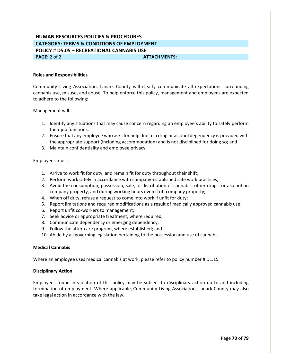# **HUMAN RESOURCES POLICIES & PROCEDURES CATEGORY: TERMS & CONDITIONS OF EMPLOYMENT POLICY # D5.05 – RECREATIONAL CANNABIS USE PAGE:** 2 of 2 **ATTACHMENTS: ATTACHMENTS:**

#### **Roles and Responsibilities**

Community Living Association, Lanark County will clearly communicate all expectations surrounding cannabis use, misuse, and abuse. To help enforce this policy, management and employees are expected to adhere to the following:

#### Management will:

- 1. Identify any situations that may cause concern regarding an employee's ability to safely perform their job functions;
- 2. Ensure that any employee who asks for help due to a drug or alcohol dependency is provided with the appropriate support (including accommodation) and is not disciplined for doing so; and
- 3. Maintain confidentiality and employee privacy.

#### Employees must:

- 1. Arrive to work fit for duty, and remain fit for duty throughout their shift;
- 2. Perform work safely in accordance with company-established safe work practices;
- 3. Avoid the consumption, possession, sale, or distribution of cannabis, other drugs, or alcohol on company property, and during working hours even if off company property;
- 4. When off duty, refuse a request to come into work if unfit for duty;
- 5. Report limitations and required modifications as a result of medically approved cannabis use;
- 6. Report unfit co-workers to management;
- 7. Seek advice or appropriate treatment, where required;
- 8. Communicate dependency or emerging dependency;
- 9. Follow the after-care program, where established; and
- 10. Abide by all governing legislation pertaining to the possession and use of cannabis.

#### **Medical Cannabis**

Where an employee uses medical cannabis at work, please refer to policy number # D1.15

#### **Disciplinary Action**

Employees found in violation of this policy may be subject to disciplinary action up to and including termination of employment. Where applicable, Community Living Association, Lanark County may also take legal action in accordance with the law.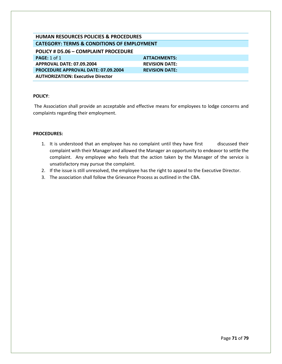| <b>HUMAN RESOURCES POLICIES &amp; PROCEDURES</b>      |                       |  |
|-------------------------------------------------------|-----------------------|--|
| <b>CATEGORY: TERMS &amp; CONDITIONS OF EMPLOYMENT</b> |                       |  |
| POLICY # D5.06 - COMPLAINT PROCEDURE                  |                       |  |
| PAGE: $1$ of $1$                                      | <b>ATTACHMENTS:</b>   |  |
| APPROVAL DATE: 07.09.2004                             | <b>REVISION DATE:</b> |  |
| <b>PROCEDURE APPROVAL DATE: 07.09.2004</b>            | <b>REVISION DATE:</b> |  |
| <b>AUTHORIZATION: Executive Director</b>              |                       |  |

The Association shall provide an acceptable and effective means for employees to lodge concerns and complaints regarding their employment.

- 1. It is understood that an employee has no complaint until they have first discussed their complaint with their Manager and allowed the Manager an opportunity to endeavor to settle the complaint. Any employee who feels that the action taken by the Manager of the service is unsatisfactory may pursue the complaint.
- 2. If the issue is still unresolved, the employee has the right to appeal to the Executive Director.
- 3. The association shall follow the Grievance Process as outlined in the CBA.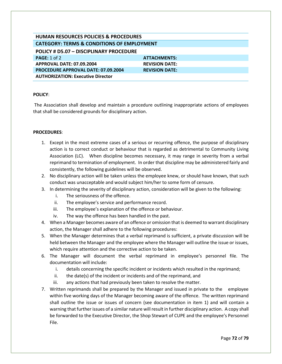| <b>HUMAN RESOURCES POLICIES &amp; PROCEDURES</b>      |                       |  |
|-------------------------------------------------------|-----------------------|--|
| <b>CATEGORY: TERMS &amp; CONDITIONS OF EMPLOYMENT</b> |                       |  |
| POLICY # D5.07 - DISCIPLINARY PROCEDURE               |                       |  |
| PAGE: $1$ of $2$                                      | <b>ATTACHMENTS:</b>   |  |
| <b>APPROVAL DATE: 07.09.2004</b>                      | <b>REVISION DATE:</b> |  |
| <b>PROCEDURE APPROVAL DATE: 07.09.2004</b>            | <b>REVISION DATE:</b> |  |
| <b>AUTHORIZATION: Executive Director</b>              |                       |  |

The Association shall develop and maintain a procedure outlining inappropriate actions of employees that shall be considered grounds for disciplinary action.

## **PROCEDURES**:

- 1. Except in the most extreme cases of a serious or recurring offence, the purpose of disciplinary action is to correct conduct or behaviour that is regarded as detrimental to Community Living Association (LC). When discipline becomes necessary, it may range in severity from a verbal reprimand to termination of employment. In order that discipline may be administered fairly and consistently, the following guidelines will be observed.
- 2. No disciplinary action will be taken unless the employee knew, or should have known, that such conduct was unacceptable and would subject him/her to some form of censure.
- 3. In determining the severity of disciplinary action, consideration will be given to the following:
	- i. The seriousness of the offence.
	- ii. The employee's service and performance record.
	- iii. The employee's explanation of the offence or behaviour.
	- iv. The way the offence has been handled in the past.
- 4. When a Manager becomes aware of an offence or omission that is deemed to warrant disciplinary action, the Manager shall adhere to the following procedures:
- 5. When the Manager determines that a verbal reprimand is sufficient, a private discussion will be held between the Manager and the employee where the Manager will outline the issue or issues, which require attention and the corrective action to be taken.
- 6. The Manager will document the verbal reprimand in employee's personnel file. The documentation will include:
	- i. details concerning the specific incident or incidents which resulted in the reprimand;
	- ii. the date(s) of the incident or incidents and of the reprimand, and
	- iii. any actions that had previously been taken to resolve the matter.
- 7. Written reprimands shall be prepared by the Manager and issued in private to the employee within five working days of the Manager becoming aware of the offence. The written reprimand shall outline the issue or issues of concern (see documentation in item 1) and will contain a warning that further issues of a similar nature will result in further disciplinary action. A copy shall be forwarded to the Executive Director, the Shop Stewart of CUPE and the employee's Personnel File.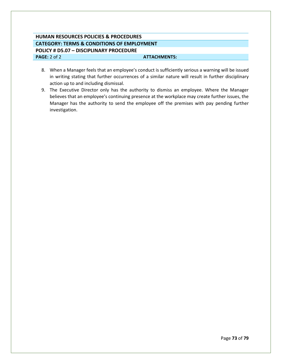# **HUMAN RESOURCES POLICIES & PROCEDURES CATEGORY: TERMS & CONDITIONS OF EMPLOYMENT POLICY # D5.07 – DISCIPLINARY PROCEDURE PAGE:** 2 of 2 **ATTACHMENTS: ATTACHMENTS:**

- 8. When a Manager feels that an employee's conduct is sufficiently serious a warning will be issued in writing stating that further occurrences of a similar nature will result in further disciplinary action up to and including dismissal.
- 9. The Executive Director only has the authority to dismiss an employee. Where the Manager believes that an employee's continuing presence at the workplace may create further issues, the Manager has the authority to send the employee off the premises with pay pending further investigation.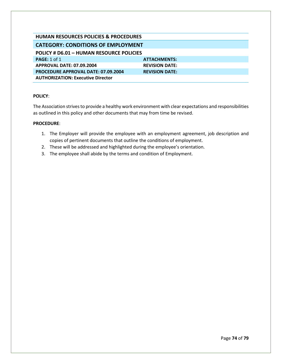| HUMAN RESOURCES POLICIES & PROCEDURES      |                       |  |
|--------------------------------------------|-----------------------|--|
| <b>CATEGORY: CONDITIONS OF EMPLOYMENT</b>  |                       |  |
| POLICY # D6.01 - HUMAN RESOURCE POLICIES   |                       |  |
| PAGE: 1 of 1                               | <b>ATTACHMENTS:</b>   |  |
| <b>APPROVAL DATE: 07.09.2004</b>           | <b>REVISION DATE:</b> |  |
| <b>PROCEDURE APPROVAL DATE: 07.09.2004</b> | <b>REVISION DATE:</b> |  |
| <b>AUTHORIZATION: Executive Director</b>   |                       |  |

The Association strives to provide a healthy work environment with clear expectations and responsibilities as outlined in this policy and other documents that may from time be revised.

## **PROCEDURE**:

- 1. The Employer will provide the employee with an employment agreement, job description and copies of pertinent documents that outline the conditions of employment.
- 2. These will be addressed and highlighted during the employee's orientation.
- 3. The employee shall abide by the terms and condition of Employment.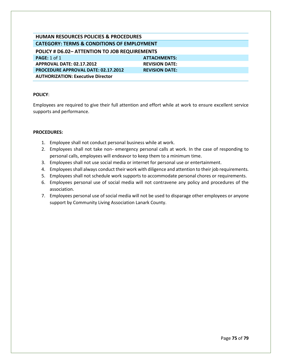| <b>HUMAN RESOURCES POLICIES &amp; PROCEDURES</b>      |                       |  |
|-------------------------------------------------------|-----------------------|--|
| <b>CATEGORY: TERMS &amp; CONDITIONS OF EMPLOYMENT</b> |                       |  |
| <b>POLICY # D6.02- ATTENTION TO JOB REQUIREMENTS</b>  |                       |  |
| <b>PAGE: 1 of 1</b>                                   | <b>ATTACHMENTS:</b>   |  |
| <b>APPROVAL DATE: 02.17.2012</b>                      | <b>REVISION DATE:</b> |  |
| <b>PROCEDURE APPROVAL DATE: 02.17.2012</b>            | <b>REVISION DATE:</b> |  |
| <b>AUTHORIZATION: Executive Director</b>              |                       |  |

Employees are required to give their full attention and effort while at work to ensure excellent service supports and performance.

### **PROCEDURES:**

- 1. Employee shall not conduct personal business while at work.
- 2. Employees shall not take non- emergency personal calls at work. In the case of responding to personal calls, employees will endeavor to keep them to a minimum time.
- 3. Employees shall not use social media or internet for personal use or entertainment.
- 4. Employees shall always conduct their work with diligence and attention to their job requirements.
- 5. Employees shall not schedule work supports to accommodate personal chores or requirements.
- 6. Employees personal use of social media will not contravene any policy and procedures of the association.
- 7. Employees personal use of social media will not be used to disparage other employees or anyone support by Community Living Association Lanark County.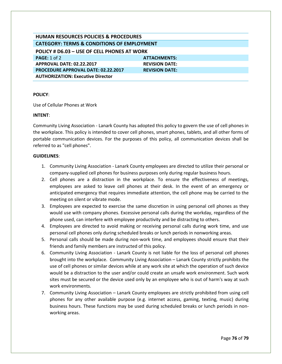| HUMAN RESOURCES POLICIES & PROCEDURES                 |                       |  |
|-------------------------------------------------------|-----------------------|--|
| <b>CATEGORY: TERMS &amp; CONDITIONS OF EMPLOYMENT</b> |                       |  |
| POLICY # D6.03 - USE OF CELL PHONES AT WORK           |                       |  |
| <b>PAGE:</b> 1 of 2                                   | <b>ATTACHMENTS:</b>   |  |
| APPROVAL DATE: 02.22.2017                             | <b>REVISION DATE:</b> |  |
| <b>PROCEDURE APPROVAL DATE: 02.22.2017</b>            | <b>REVISION DATE:</b> |  |
| <b>AUTHORIZATION: Executive Director</b>              |                       |  |

Use of Cellular Phones at Work

### **INTENT**:

Community Living Association - Lanark County has adopted this policy to govern the use of cell phones in the workplace. This policy is intended to cover cell phones, smart phones, tablets, and all other forms of portable communication devices. For the purposes of this policy, all communication devices shall be referred to as "cell phones".

### **GUIDELINES**:

- 1. Community Living Association Lanark County employees are directed to utilize their personal or company-supplied cell phones for business purposes only during regular business hours.
- 2. Cell phones are a distraction in the workplace. To ensure the effectiveness of meetings, employees are asked to leave cell phones at their desk. In the event of an emergency or anticipated emergency that requires immediate attention, the cell phone may be carried to the meeting on silent or vibrate mode.
- 3. Employees are expected to exercise the same discretion in using personal cell phones as they would use with company phones. Excessive personal calls during the workday, regardless of the phone used, can interfere with employee productivity and be distracting to others.
- 4. Employees are directed to avoid making or receiving personal calls during work time, and use personal cell phones only during scheduled breaks or lunch periods in nonworking areas.
- 5. Personal calls should be made during non-work time, and employees should ensure that their friends and family members are instructed of this policy.
- 6. Community Living Association Lanark County is not liable for the loss of personal cell phones brought into the workplace. Community Living Association – Lanark County strictly prohibits the use of cell phones or similar devices while at any work site at which the operation of such device would be a distraction to the user and/or could create an unsafe work environment. Such work sites must be secured or the device used only by an employee who is out of harm's way at such work environments.
- 7. Community Living Association Lanark County employees are strictly prohibited from using cell phones for any other available purpose (e.g. internet access, gaming, texting, music) during business hours. These functions may be used during scheduled breaks or lunch periods in nonworking areas.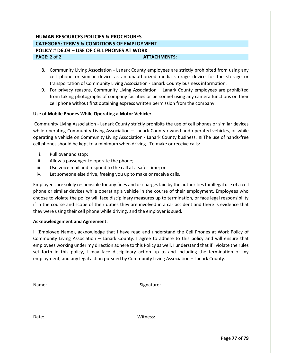# **HUMAN RESOURCES POLICIES & PROCEDURES CATEGORY: TERMS & CONDITIONS OF EMPLOYMENT POLICY # D6.03 – USE OF CELL PHONES AT WORK PAGE:** 2 of 2 **ATTACHMENTS: ATTACHMENTS:**

- 8. Community Living Association Lanark County employees are strictly prohibited from using any cell phone or similar device as an unauthorized media storage device for the storage or transportation of Community Living Association - Lanark County business information.
- 9. For privacy reasons, Community Living Association Lanark County employees are prohibited from taking photographs of company facilities or personnel using any camera functions on their cell phone without first obtaining express written permission from the company.

## **Use of Mobile Phones While Operating a Motor Vehicle:**

Community Living Association - Lanark County strictly prohibits the use of cell phones or similar devices while operating Community Living Association – Lanark County owned and operated vehicles, or while operating a vehicle on Community Living Association - Lanark County business. **II** The use of hands-free cell phones should be kept to a minimum when driving. To make or receive calls:

- i. Pull over and stop;
- ii. Allow a passenger to operate the phone;
- iii. Use voice mail and respond to the call at a safer time; or
- iv. Let someone else drive, freeing you up to make or receive calls.

Employees are solely responsible for any fines and or charges laid by the authorities for illegal use of a cell phone or similar devices while operating a vehicle in the course of their employment. Employees who choose to violate the policy will face disciplinary measures up to termination, or face legal responsibility if in the course and scope of their duties they are involved in a car accident and there is evidence that they were using their cell phone while driving, and the employer is sued.

#### **Acknowledgement and Agreement:**

I, (Employee Name), acknowledge that I have read and understand the Cell Phones at Work Policy of Community Living Association – Lanark County. I agree to adhere to this policy and will ensure that employees working under my direction adhere to this Policy as well. I understand that if I violate the rules set forth in this policy, I may face disciplinary action up to and including the termination of my employment, and any legal action pursued by Community Living Association – Lanark County.

| Name: |                                                                                        |
|-------|----------------------------------------------------------------------------------------|
|       |                                                                                        |
|       |                                                                                        |
| Date: | Witness:<br>the control of the control of the control of the control of the control of |
|       |                                                                                        |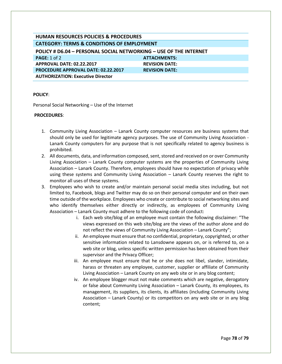| <b>HUMAN RESOURCES POLICIES &amp; PROCEDURES</b>                  |                       |  |
|-------------------------------------------------------------------|-----------------------|--|
| <b>CATEGORY: TERMS &amp; CONDITIONS OF EMPLOYMENT</b>             |                       |  |
| POLICY # D6.04 - PERSONAL SOCIAL NETWORKING - USE OF THE INTERNET |                       |  |
| PAGE: 1 of 2                                                      | <b>ATTACHMENTS:</b>   |  |
| APPROVAL DATE: 02.22.2017                                         | <b>REVISION DATE:</b> |  |
| <b>PROCEDURE APPROVAL DATE: 02.22.2017</b>                        | <b>REVISION DATE:</b> |  |
| <b>AUTHORIZATION: Executive Director</b>                          |                       |  |

Personal Social Networking – Use of the Internet

### **PROCEDURES**:

- 1. Community Living Association Lanark County computer resources are business systems that should only be used for legitimate agency purposes. The use of Community Living Association - Lanark County computers for any purpose that is not specifically related to agency business is prohibited.
- 2. All documents, data, and information composed, sent, stored and received on or over Community Living Association – Lanark County computer systems are the properties of Community Living Association – Lanark County. Therefore, employees should have no expectation of privacy while using these systems and Community Living Association – Lanark County reserves the right to monitor all uses of these systems.
- 3. Employees who wish to create and/or maintain personal social media sites including, but not limited to, Facebook, blogs and Twitter may do so on their personal computer and on their own time outside of the workplace. Employees who create or contribute to social networking sites and who identify themselves either directly or indirectly, as employees of Community Living Association – Lanark County must adhere to the following code of conduct:
	- i. Each web site/blog of an employee must contain the following disclaimer: "The views expressed on this web site/blog are the views of the author alone and do not reflect the views of Community Living Association – Lanark County";
	- ii. An employee must ensure that no confidential, proprietary, copyrighted, or other sensitive information related to Lansdowne appears on, or is referred to, on a web site or blog, unless specific written permission has been obtained from their supervisor and the Privacy Officer;
	- iii. An employee must ensure that he or she does not libel, slander, intimidate, harass or threaten any employee, customer, supplier or affiliate of Community Living Association – Lanark County on any web site or in any blog content;
	- iv. An employee blogger must not make comments which are negative, derogatory or false about Community Living Association – Lanark County, its employees, its management, its suppliers, its clients, its affiliates (including Community Living Association – Lanark County) or its competitors on any web site or in any blog content;